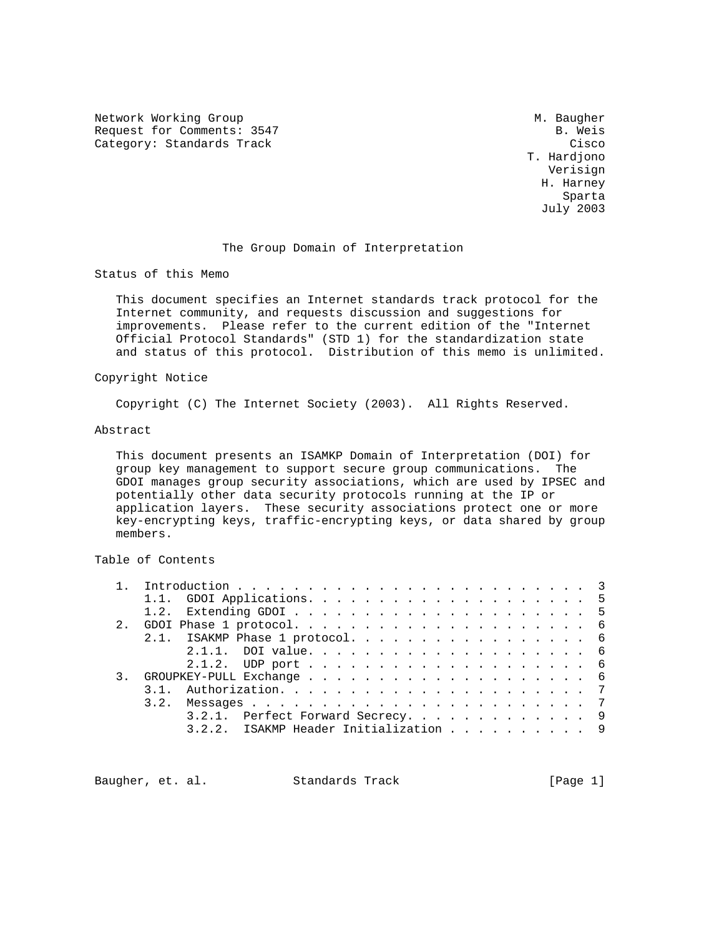Network Working Group Methods and Muslim Muslim Muslim Muslim Muslim Muslim Muslim Muslim Muslim Muslim Muslim Request for Comments: 3547 B. Weis Category: Standards Track Cisco Cisco Cisco Cisco Cisco Cisco Cisco Cisco Cisco Cisco Cisco Cisco Cisco Cisco

 T. Hardjono Verisign H. Harney s and the state of the state of the state of the state of the state of the state of the state of the state of the state of the state of the state of the state of the state of the state of the state of the state of the stat July 2003

# The Group Domain of Interpretation

Status of this Memo

 This document specifies an Internet standards track protocol for the Internet community, and requests discussion and suggestions for improvements. Please refer to the current edition of the "Internet Official Protocol Standards" (STD 1) for the standardization state and status of this protocol. Distribution of this memo is unlimited.

### Copyright Notice

Copyright (C) The Internet Society (2003). All Rights Reserved.

### Abstract

 This document presents an ISAMKP Domain of Interpretation (DOI) for group key management to support secure group communications. The GDOI manages group security associations, which are used by IPSEC and potentially other data security protocols running at the IP or application layers. These security associations protect one or more key-encrypting keys, traffic-encrypting keys, or data shared by group members.

# Table of Contents

|  | 2.1. ISAKMP Phase 1 protocol. 6       |  |
|--|---------------------------------------|--|
|  |                                       |  |
|  |                                       |  |
|  |                                       |  |
|  |                                       |  |
|  |                                       |  |
|  | 3.2.1. Perfect Forward Secrecy. 9     |  |
|  | 3.2.2. ISAKMP Header Initialization 9 |  |
|  |                                       |  |

Baugher, et. al. Standards Track [Page 1]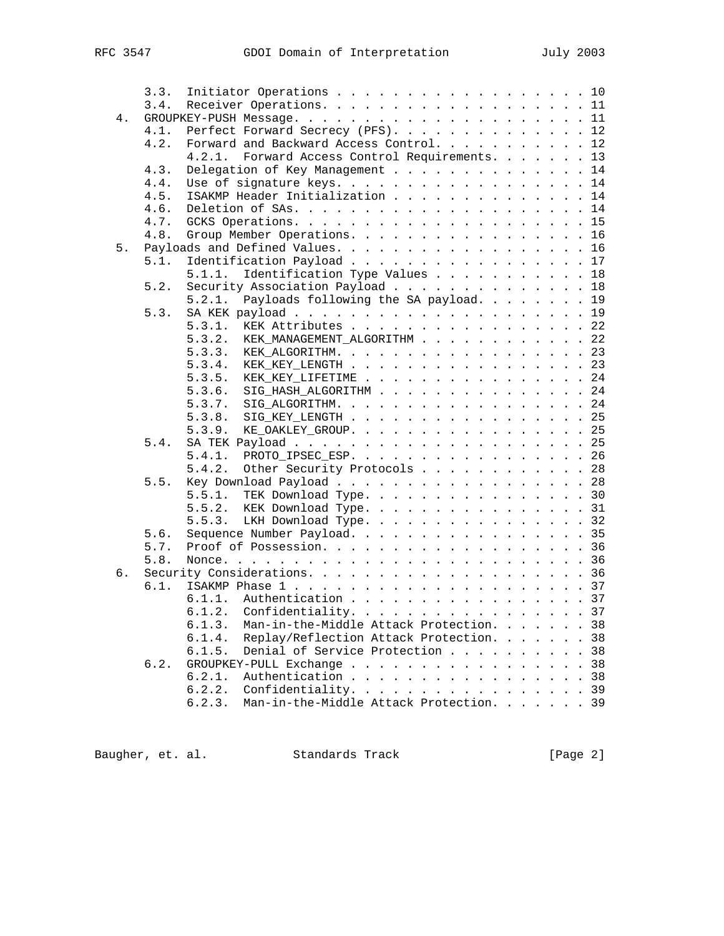|    | 3.3. | Initiator Operations 10                                                                                                                            |
|----|------|----------------------------------------------------------------------------------------------------------------------------------------------------|
|    | 3.4. | Receiver Operations. 11                                                                                                                            |
| 4. |      |                                                                                                                                                    |
|    | 4.1. | Perfect Forward Secrecy (PFS). 12                                                                                                                  |
|    | 4.2. | Forward and Backward Access Control. 12                                                                                                            |
|    |      | Forward Access Control Requirements. 13<br>4.2.1.                                                                                                  |
|    | 4.3. | Delegation of Key Management 14                                                                                                                    |
|    | 4.4. | Use of signature keys. 14                                                                                                                          |
|    | 4.5. | ISAKMP Header Initialization 14                                                                                                                    |
|    | 4.6. |                                                                                                                                                    |
|    | 4.7. |                                                                                                                                                    |
|    | 4.8. | Group Member Operations. 16                                                                                                                        |
| 5. |      | Payloads and Defined Values. 16                                                                                                                    |
|    | 5.1. | Identification Payload 17                                                                                                                          |
|    |      | Identification Type Values 18<br>5.1.1.                                                                                                            |
|    | 5.2. | Security Association Payload 18                                                                                                                    |
|    |      | Payloads following the SA payload. 19<br>5.2.1.                                                                                                    |
|    | 5.3. |                                                                                                                                                    |
|    |      | 5.3.1.<br>KEK Attributes 22                                                                                                                        |
|    |      | 5.3.2. KEK_MANAGEMENT_ALGORITHM 22                                                                                                                 |
|    |      | KEK_ALGORITHM. 23<br>5.3.3.                                                                                                                        |
|    |      | KEK_KEY_LENGTH 23<br>5.3.4.                                                                                                                        |
|    |      | KEK_KEY_LIFETIME 24<br>5.3.5.                                                                                                                      |
|    |      | SIG_HASH_ALGORITHM 24<br>5.3.6.                                                                                                                    |
|    |      | 5.3.7.<br>SIG_ALGORITHM. 24                                                                                                                        |
|    |      | $\texttt{SIG\_KEY\_LENGTH} \quad \ldots \quad \ldots \quad \ldots \quad \ldots \quad \ldots \quad \ldots \quad \ldots \quad \texttt{25}$<br>5.3.8. |
|    |      | KE_OAKLEY_GROUP. 25<br>5.3.9.                                                                                                                      |
|    | 5.4. |                                                                                                                                                    |
|    |      | PROTO_IPSEC_ESP. 26<br>5.4.1.                                                                                                                      |
|    |      | 5.4.2.<br>Other Security Protocols 28                                                                                                              |
|    | 5.5. | Key Download Payload 28                                                                                                                            |
|    |      | 5.5.1. TEK Download Type. 30                                                                                                                       |
|    |      | 5.5.2. KEK Download Type. 31                                                                                                                       |
|    |      | LKH Download Type. 32<br>5.5.3.                                                                                                                    |
|    | 5.6. | Sequence Number Payload. 35                                                                                                                        |
|    | 5.7. | Proof of Possession. 36                                                                                                                            |
|    | 5.8. |                                                                                                                                                    |
| б. |      |                                                                                                                                                    |
|    | 6.1. |                                                                                                                                                    |
|    |      | Authentication 37<br>6.1.1.                                                                                                                        |
|    |      | 6.1.2. Confidentiality. 37                                                                                                                         |
|    |      | 6.1.3.<br>Man-in-the-Middle Attack Protection.<br>38                                                                                               |
|    |      | Replay/Reflection Attack Protection.<br>38<br>6.1.4.                                                                                               |
|    |      | 38<br>6.1.5.<br>Denial of Service Protection                                                                                                       |
|    | 6.2. | 38<br>GROUPKEY-PULL Exchange                                                                                                                       |
|    |      | 38<br>6.2.1.<br>Authentication                                                                                                                     |
|    |      | 6.2.2.<br>Confidentiality. 39                                                                                                                      |
|    |      | Man-in-the-Middle Attack Protection. 39<br>6.2.3.                                                                                                  |
|    |      |                                                                                                                                                    |

Baugher, et. al. Standards Track [Page 2]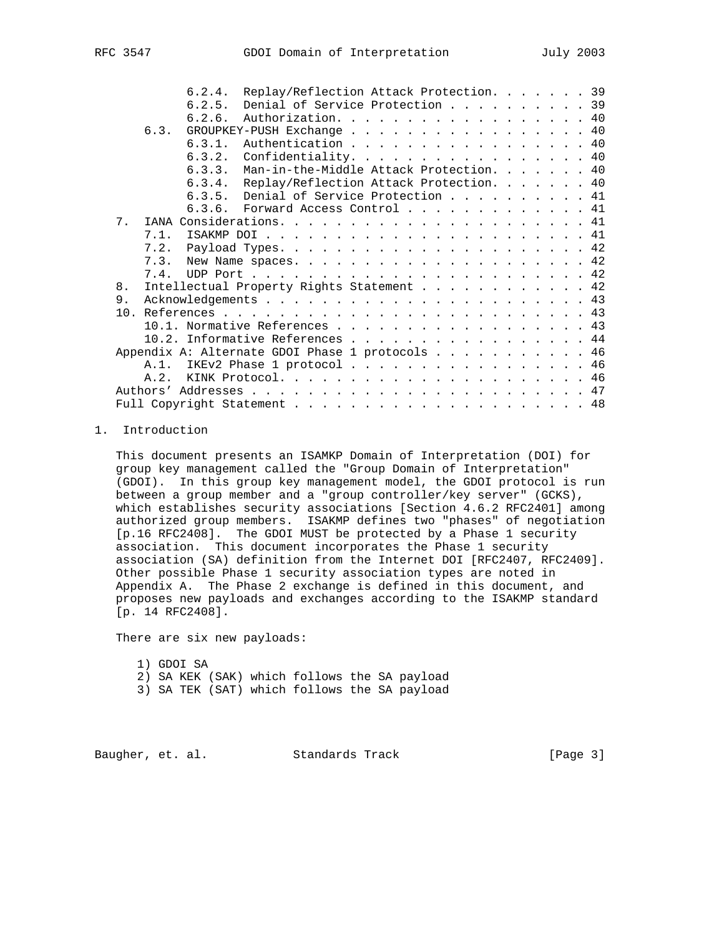|    |      | 6.2.4.                                          | Replay/Reflection Attack Protection. 39   |  |  |  |  |  |  |  |  |  |
|----|------|-------------------------------------------------|-------------------------------------------|--|--|--|--|--|--|--|--|--|
|    |      | 6.2.5.                                          | Denial of Service Protection 39           |  |  |  |  |  |  |  |  |  |
|    |      | 6.2.6.                                          | Authorization. 40                         |  |  |  |  |  |  |  |  |  |
|    | 6.3. |                                                 | GROUPKEY-PUSH Exchange 40                 |  |  |  |  |  |  |  |  |  |
|    |      | 6.3.1.                                          | Authentication 40                         |  |  |  |  |  |  |  |  |  |
|    |      | 6.3.2.                                          | Confidentiality. 40                       |  |  |  |  |  |  |  |  |  |
|    |      | 6, 3, 3,                                        | Man-in-the-Middle Attack Protection. 40   |  |  |  |  |  |  |  |  |  |
|    |      | 6.3.4.                                          | Replay/Reflection Attack Protection. 40   |  |  |  |  |  |  |  |  |  |
|    |      |                                                 | 6.3.5. Denial of Service Protection 41    |  |  |  |  |  |  |  |  |  |
|    |      |                                                 | 6.3.6. Forward Access Control $\ldots$ 41 |  |  |  |  |  |  |  |  |  |
| 7. |      |                                                 |                                           |  |  |  |  |  |  |  |  |  |
|    | 7.1. |                                                 |                                           |  |  |  |  |  |  |  |  |  |
|    |      |                                                 |                                           |  |  |  |  |  |  |  |  |  |
|    |      |                                                 |                                           |  |  |  |  |  |  |  |  |  |
|    |      |                                                 |                                           |  |  |  |  |  |  |  |  |  |
| 8. |      | Intellectual Property Rights Statement 42       |                                           |  |  |  |  |  |  |  |  |  |
| 9. |      |                                                 |                                           |  |  |  |  |  |  |  |  |  |
|    |      |                                                 |                                           |  |  |  |  |  |  |  |  |  |
|    |      | 10.1. Normative References 43                   |                                           |  |  |  |  |  |  |  |  |  |
|    |      | 10.2. Informative References 44                 |                                           |  |  |  |  |  |  |  |  |  |
|    |      | Appendix A: Alternate GDOI Phase 1 protocols 46 |                                           |  |  |  |  |  |  |  |  |  |
|    |      | A.1. IKEv2 Phase 1 protocol 46                  |                                           |  |  |  |  |  |  |  |  |  |
|    | A.2. |                                                 |                                           |  |  |  |  |  |  |  |  |  |
|    |      |                                                 |                                           |  |  |  |  |  |  |  |  |  |
|    |      |                                                 |                                           |  |  |  |  |  |  |  |  |  |

# 1. Introduction

 This document presents an ISAMKP Domain of Interpretation (DOI) for group key management called the "Group Domain of Interpretation" (GDOI). In this group key management model, the GDOI protocol is run between a group member and a "group controller/key server" (GCKS), which establishes security associations [Section 4.6.2 RFC2401] among authorized group members. ISAKMP defines two "phases" of negotiation [p.16 RFC2408]. The GDOI MUST be protected by a Phase 1 security association. This document incorporates the Phase 1 security association (SA) definition from the Internet DOI [RFC2407, RFC2409]. Other possible Phase 1 security association types are noted in Appendix A. The Phase 2 exchange is defined in this document, and proposes new payloads and exchanges according to the ISAKMP standard [p. 14 RFC2408].

There are six new payloads:

 1) GDOI SA 2) SA KEK (SAK) which follows the SA payload 3) SA TEK (SAT) which follows the SA payload

Baugher, et. al. Standards Track [Page 3]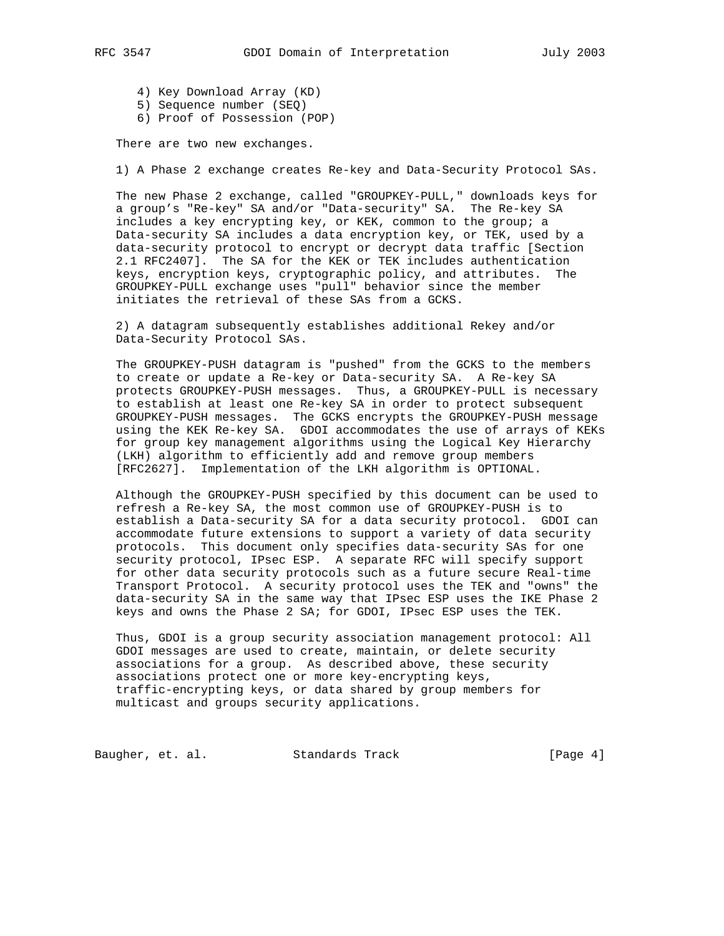- - 4) Key Download Array (KD)
	- 5) Sequence number (SEQ)
	- 6) Proof of Possession (POP)

There are two new exchanges.

1) A Phase 2 exchange creates Re-key and Data-Security Protocol SAs.

 The new Phase 2 exchange, called "GROUPKEY-PULL," downloads keys for a group's "Re-key" SA and/or "Data-security" SA. The Re-key SA includes a key encrypting key, or KEK, common to the group; a Data-security SA includes a data encryption key, or TEK, used by a data-security protocol to encrypt or decrypt data traffic [Section 2.1 RFC2407]. The SA for the KEK or TEK includes authentication keys, encryption keys, cryptographic policy, and attributes. The GROUPKEY-PULL exchange uses "pull" behavior since the member initiates the retrieval of these SAs from a GCKS.

 2) A datagram subsequently establishes additional Rekey and/or Data-Security Protocol SAs.

 The GROUPKEY-PUSH datagram is "pushed" from the GCKS to the members to create or update a Re-key or Data-security SA. A Re-key SA protects GROUPKEY-PUSH messages. Thus, a GROUPKEY-PULL is necessary to establish at least one Re-key SA in order to protect subsequent GROUPKEY-PUSH messages. The GCKS encrypts the GROUPKEY-PUSH message using the KEK Re-key SA. GDOI accommodates the use of arrays of KEKs for group key management algorithms using the Logical Key Hierarchy (LKH) algorithm to efficiently add and remove group members [RFC2627]. Implementation of the LKH algorithm is OPTIONAL.

 Although the GROUPKEY-PUSH specified by this document can be used to refresh a Re-key SA, the most common use of GROUPKEY-PUSH is to establish a Data-security SA for a data security protocol. GDOI can accommodate future extensions to support a variety of data security protocols. This document only specifies data-security SAs for one security protocol, IPsec ESP. A separate RFC will specify support for other data security protocols such as a future secure Real-time Transport Protocol. A security protocol uses the TEK and "owns" the data-security SA in the same way that IPsec ESP uses the IKE Phase 2 keys and owns the Phase 2 SA; for GDOI, IPsec ESP uses the TEK.

 Thus, GDOI is a group security association management protocol: All GDOI messages are used to create, maintain, or delete security associations for a group. As described above, these security associations protect one or more key-encrypting keys, traffic-encrypting keys, or data shared by group members for multicast and groups security applications.

Baugher, et. al. Standards Track [Page 4]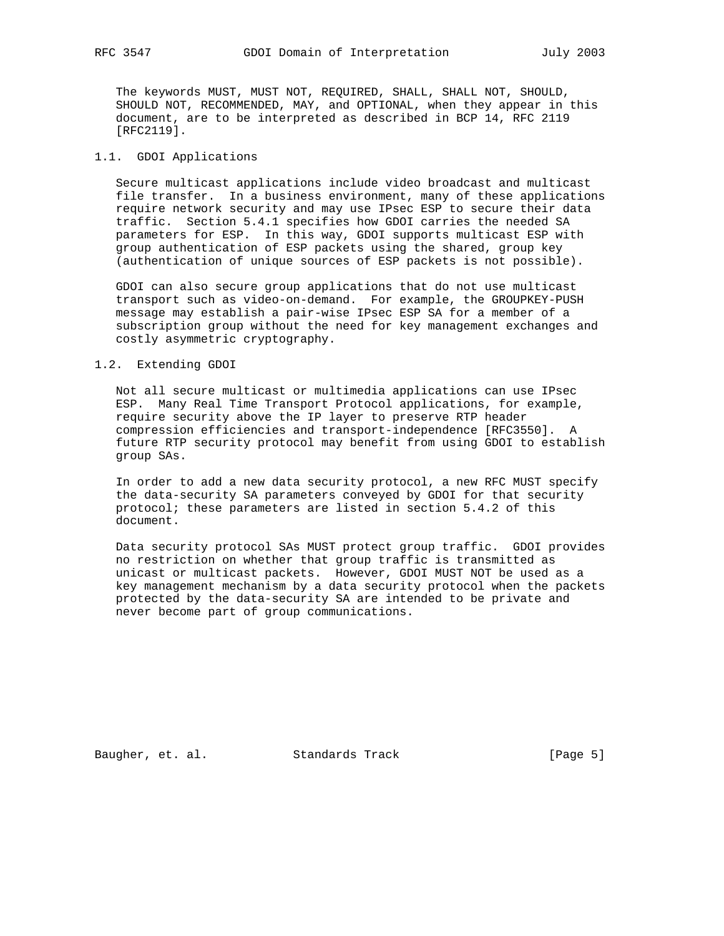The keywords MUST, MUST NOT, REQUIRED, SHALL, SHALL NOT, SHOULD, SHOULD NOT, RECOMMENDED, MAY, and OPTIONAL, when they appear in this document, are to be interpreted as described in BCP 14, RFC 2119 [RFC2119].

## 1.1. GDOI Applications

 Secure multicast applications include video broadcast and multicast file transfer. In a business environment, many of these applications require network security and may use IPsec ESP to secure their data traffic. Section 5.4.1 specifies how GDOI carries the needed SA parameters for ESP. In this way, GDOI supports multicast ESP with group authentication of ESP packets using the shared, group key (authentication of unique sources of ESP packets is not possible).

 GDOI can also secure group applications that do not use multicast transport such as video-on-demand. For example, the GROUPKEY-PUSH message may establish a pair-wise IPsec ESP SA for a member of a subscription group without the need for key management exchanges and costly asymmetric cryptography.

## 1.2. Extending GDOI

 Not all secure multicast or multimedia applications can use IPsec ESP. Many Real Time Transport Protocol applications, for example, require security above the IP layer to preserve RTP header compression efficiencies and transport-independence [RFC3550]. A future RTP security protocol may benefit from using GDOI to establish group SAs.

 In order to add a new data security protocol, a new RFC MUST specify the data-security SA parameters conveyed by GDOI for that security protocol; these parameters are listed in section 5.4.2 of this document.

 Data security protocol SAs MUST protect group traffic. GDOI provides no restriction on whether that group traffic is transmitted as unicast or multicast packets. However, GDOI MUST NOT be used as a key management mechanism by a data security protocol when the packets protected by the data-security SA are intended to be private and never become part of group communications.

Baugher, et. al. Standards Track [Page 5]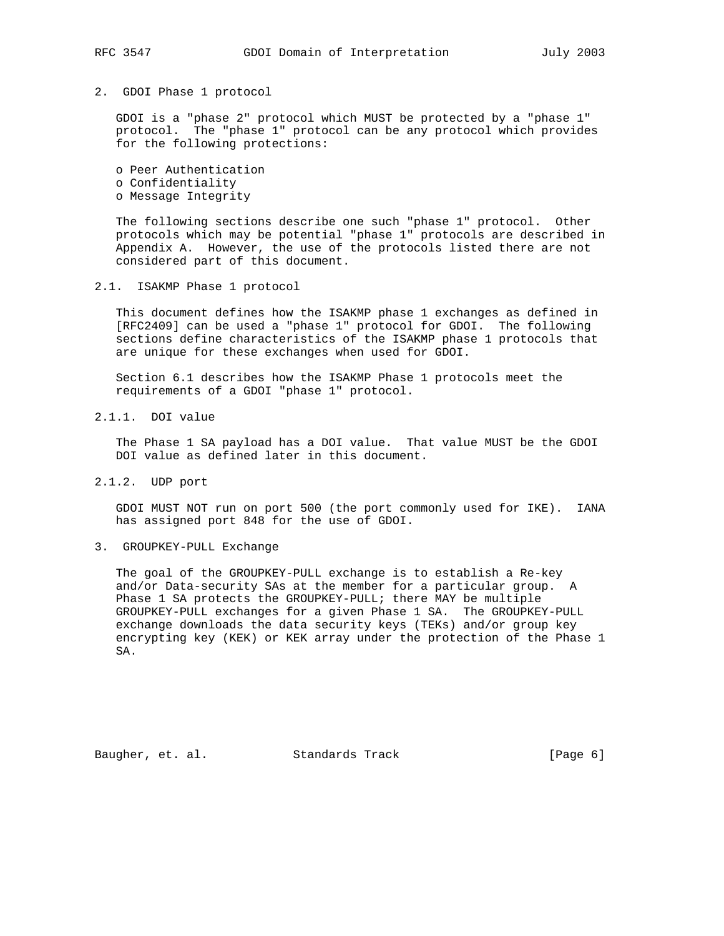### 2. GDOI Phase 1 protocol

 GDOI is a "phase 2" protocol which MUST be protected by a "phase 1" protocol. The "phase 1" protocol can be any protocol which provides for the following protections:

 o Peer Authentication o Confidentiality o Message Integrity

 The following sections describe one such "phase 1" protocol. Other protocols which may be potential "phase 1" protocols are described in Appendix A. However, the use of the protocols listed there are not considered part of this document.

## 2.1. ISAKMP Phase 1 protocol

 This document defines how the ISAKMP phase 1 exchanges as defined in [RFC2409] can be used a "phase 1" protocol for GDOI. The following sections define characteristics of the ISAKMP phase 1 protocols that are unique for these exchanges when used for GDOI.

 Section 6.1 describes how the ISAKMP Phase 1 protocols meet the requirements of a GDOI "phase 1" protocol.

# 2.1.1. DOI value

 The Phase 1 SA payload has a DOI value. That value MUST be the GDOI DOI value as defined later in this document.

### 2.1.2. UDP port

 GDOI MUST NOT run on port 500 (the port commonly used for IKE). IANA has assigned port 848 for the use of GDOI.

### 3. GROUPKEY-PULL Exchange

 The goal of the GROUPKEY-PULL exchange is to establish a Re-key and/or Data-security SAs at the member for a particular group. A Phase 1 SA protects the GROUPKEY-PULL; there MAY be multiple GROUPKEY-PULL exchanges for a given Phase 1 SA. The GROUPKEY-PULL exchange downloads the data security keys (TEKs) and/or group key encrypting key (KEK) or KEK array under the protection of the Phase 1 SA.

Baugher, et. al. Standards Track [Page 6]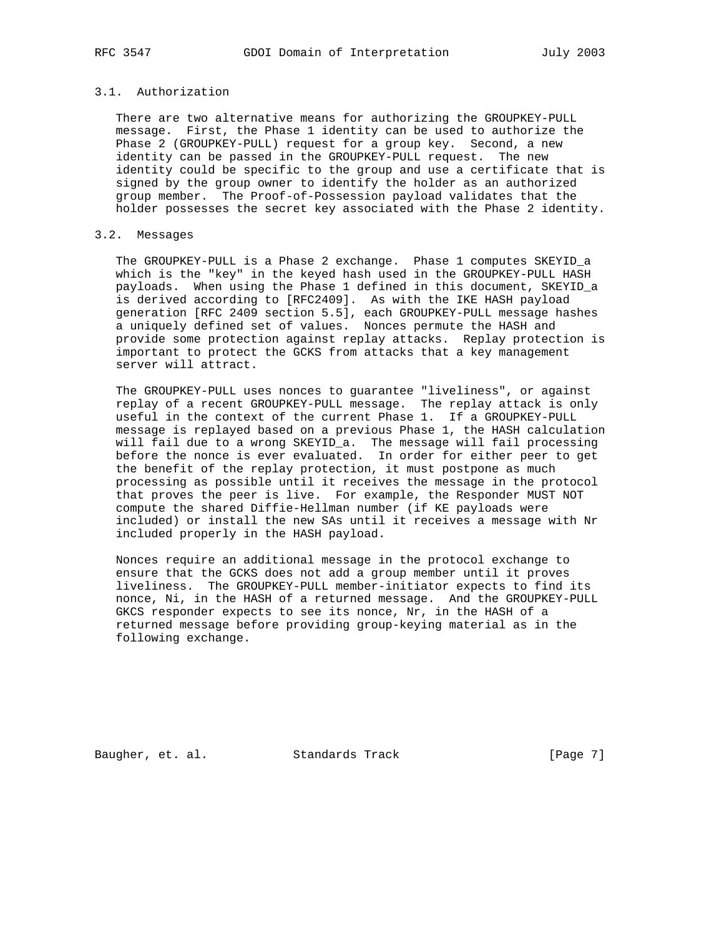## 3.1. Authorization

 There are two alternative means for authorizing the GROUPKEY-PULL message. First, the Phase 1 identity can be used to authorize the Phase 2 (GROUPKEY-PULL) request for a group key. Second, a new identity can be passed in the GROUPKEY-PULL request. The new identity could be specific to the group and use a certificate that is signed by the group owner to identify the holder as an authorized group member. The Proof-of-Possession payload validates that the holder possesses the secret key associated with the Phase 2 identity.

# 3.2. Messages

 The GROUPKEY-PULL is a Phase 2 exchange. Phase 1 computes SKEYID\_a which is the "key" in the keyed hash used in the GROUPKEY-PULL HASH payloads. When using the Phase 1 defined in this document, SKEYID\_a is derived according to [RFC2409]. As with the IKE HASH payload generation [RFC 2409 section 5.5], each GROUPKEY-PULL message hashes a uniquely defined set of values. Nonces permute the HASH and provide some protection against replay attacks. Replay protection is important to protect the GCKS from attacks that a key management server will attract.

 The GROUPKEY-PULL uses nonces to guarantee "liveliness", or against replay of a recent GROUPKEY-PULL message. The replay attack is only useful in the context of the current Phase 1. If a GROUPKEY-PULL message is replayed based on a previous Phase 1, the HASH calculation will fail due to a wrong SKEYID\_a. The message will fail processing before the nonce is ever evaluated. In order for either peer to get the benefit of the replay protection, it must postpone as much processing as possible until it receives the message in the protocol that proves the peer is live. For example, the Responder MUST NOT compute the shared Diffie-Hellman number (if KE payloads were included) or install the new SAs until it receives a message with Nr included properly in the HASH payload.

 Nonces require an additional message in the protocol exchange to ensure that the GCKS does not add a group member until it proves liveliness. The GROUPKEY-PULL member-initiator expects to find its nonce, Ni, in the HASH of a returned message. And the GROUPKEY-PULL GKCS responder expects to see its nonce, Nr, in the HASH of a returned message before providing group-keying material as in the following exchange.

Baugher, et. al. Standards Track [Page 7]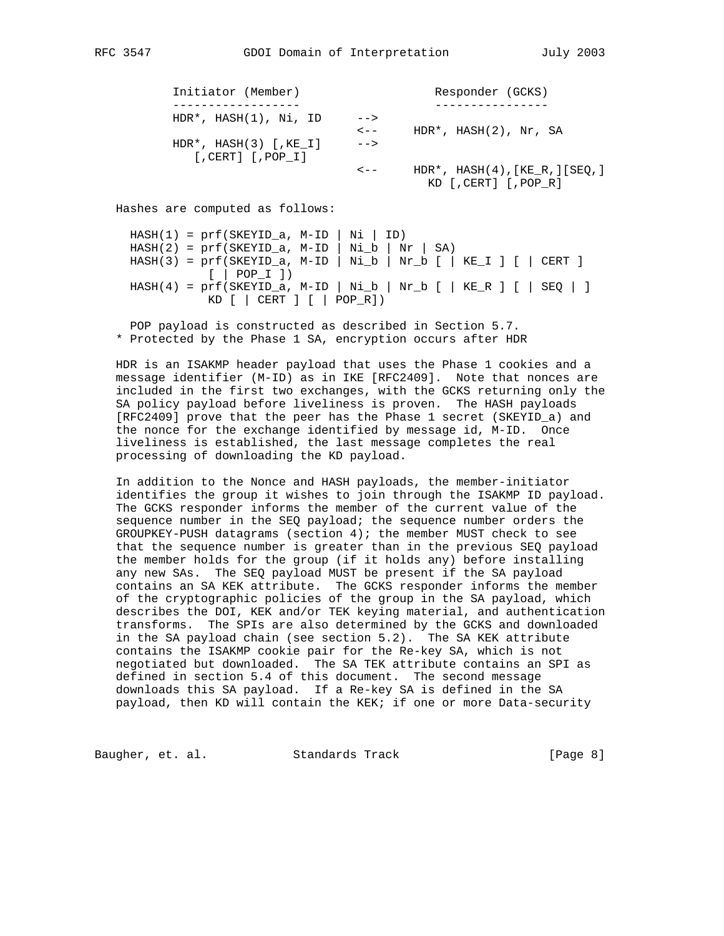| Initiator (Member)                                     |           | Responder (GCKS)                                                   |
|--------------------------------------------------------|-----------|--------------------------------------------------------------------|
|                                                        |           |                                                                    |
| $HDR^*$ , $HASH(1)$ , Ni, ID                           | $--$      |                                                                    |
|                                                        | $\lt$ $-$ | $HDR^*$ , $HASH(2)$ , $Nr$ , SA                                    |
| $HDR^*$ , $HASH(3)$ [, $KE$ I]<br>$[.CERT]$ $[.POP I]$ | $--&>$    |                                                                    |
|                                                        | $\lt$ $-$ | HDR*, $HASH(4)$ , $[KE R$ , $][SEQ$ , $]$<br>KD [, CERT] [, POP R] |

Hashes are computed as follows:

 $HASH(1) = prf(SKEYID_a, M-ID | Ni | ID)$  $HASH(2) = prf(SKEYID_a, M-ID | Nil_b | Nr | SA)$  $HASH(3) = prf(SKEYID_a, M-ID | Ni_b | Nr_b [ | KE_I ] [ | CERT ]$  [ | POP\_I ])  $HASH(4) = prf(SKEYID_a, M-ID | Nil_b | Nr_b [ | KE_R ] [ | SEQ | ]$ KD [ | CERT ] [ | POP\_R])

 POP payload is constructed as described in Section 5.7. \* Protected by the Phase 1 SA, encryption occurs after HDR

 HDR is an ISAKMP header payload that uses the Phase 1 cookies and a message identifier (M-ID) as in IKE [RFC2409]. Note that nonces are included in the first two exchanges, with the GCKS returning only the SA policy payload before liveliness is proven. The HASH payloads [RFC2409] prove that the peer has the Phase 1 secret (SKEYID\_a) and the nonce for the exchange identified by message id, M-ID. Once liveliness is established, the last message completes the real processing of downloading the KD payload.

 In addition to the Nonce and HASH payloads, the member-initiator identifies the group it wishes to join through the ISAKMP ID payload. The GCKS responder informs the member of the current value of the sequence number in the SEQ payload; the sequence number orders the GROUPKEY-PUSH datagrams (section  $4$ ); the member MUST check to see that the sequence number is greater than in the previous SEQ payload the member holds for the group (if it holds any) before installing any new SAs. The SEQ payload MUST be present if the SA payload contains an SA KEK attribute. The GCKS responder informs the member of the cryptographic policies of the group in the SA payload, which describes the DOI, KEK and/or TEK keying material, and authentication transforms. The SPIs are also determined by the GCKS and downloaded in the SA payload chain (see section 5.2). The SA KEK attribute contains the ISAKMP cookie pair for the Re-key SA, which is not negotiated but downloaded. The SA TEK attribute contains an SPI as defined in section 5.4 of this document. The second message downloads this SA payload. If a Re-key SA is defined in the SA payload, then KD will contain the KEK; if one or more Data-security

Baugher, et. al. Standards Track [Page 8]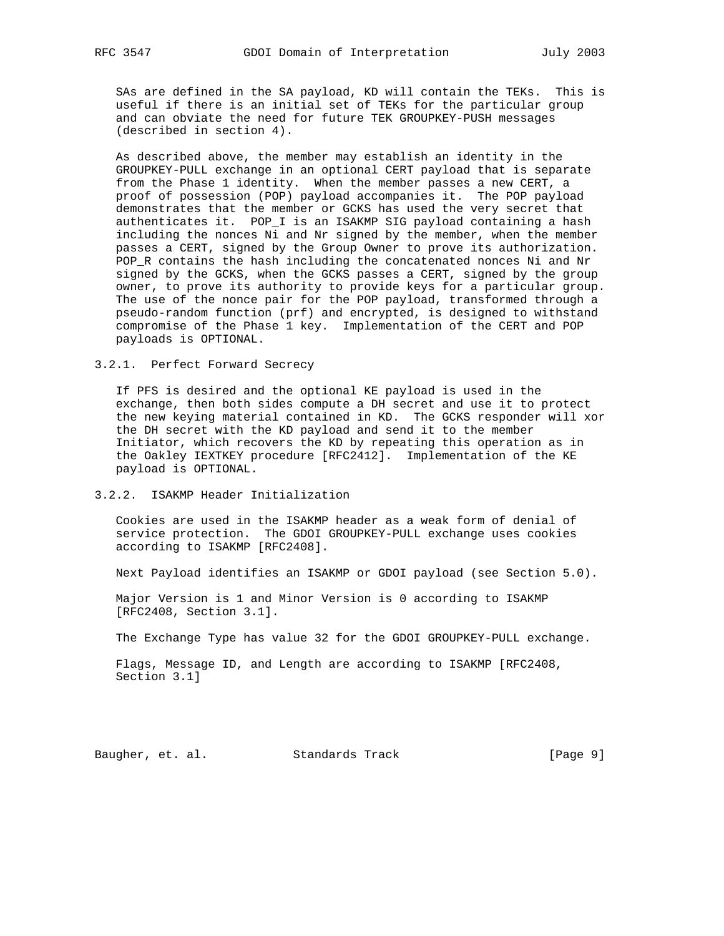SAs are defined in the SA payload, KD will contain the TEKs. This is useful if there is an initial set of TEKs for the particular group and can obviate the need for future TEK GROUPKEY-PUSH messages (described in section 4).

 As described above, the member may establish an identity in the GROUPKEY-PULL exchange in an optional CERT payload that is separate from the Phase 1 identity. When the member passes a new CERT, a proof of possession (POP) payload accompanies it. The POP payload demonstrates that the member or GCKS has used the very secret that authenticates it. POP\_I is an ISAKMP SIG payload containing a hash including the nonces Ni and Nr signed by the member, when the member passes a CERT, signed by the Group Owner to prove its authorization. POP\_R contains the hash including the concatenated nonces Ni and Nr signed by the GCKS, when the GCKS passes a CERT, signed by the group owner, to prove its authority to provide keys for a particular group. The use of the nonce pair for the POP payload, transformed through a pseudo-random function (prf) and encrypted, is designed to withstand compromise of the Phase 1 key. Implementation of the CERT and POP payloads is OPTIONAL.

3.2.1. Perfect Forward Secrecy

 If PFS is desired and the optional KE payload is used in the exchange, then both sides compute a DH secret and use it to protect the new keying material contained in KD. The GCKS responder will xor the DH secret with the KD payload and send it to the member Initiator, which recovers the KD by repeating this operation as in the Oakley IEXTKEY procedure [RFC2412]. Implementation of the KE payload is OPTIONAL.

3.2.2. ISAKMP Header Initialization

 Cookies are used in the ISAKMP header as a weak form of denial of service protection. The GDOI GROUPKEY-PULL exchange uses cookies according to ISAKMP [RFC2408].

Next Payload identifies an ISAKMP or GDOI payload (see Section 5.0).

 Major Version is 1 and Minor Version is 0 according to ISAKMP [RFC2408, Section 3.1].

The Exchange Type has value 32 for the GDOI GROUPKEY-PULL exchange.

 Flags, Message ID, and Length are according to ISAKMP [RFC2408, Section 3.1]

Baugher, et. al. Standards Track [Page 9]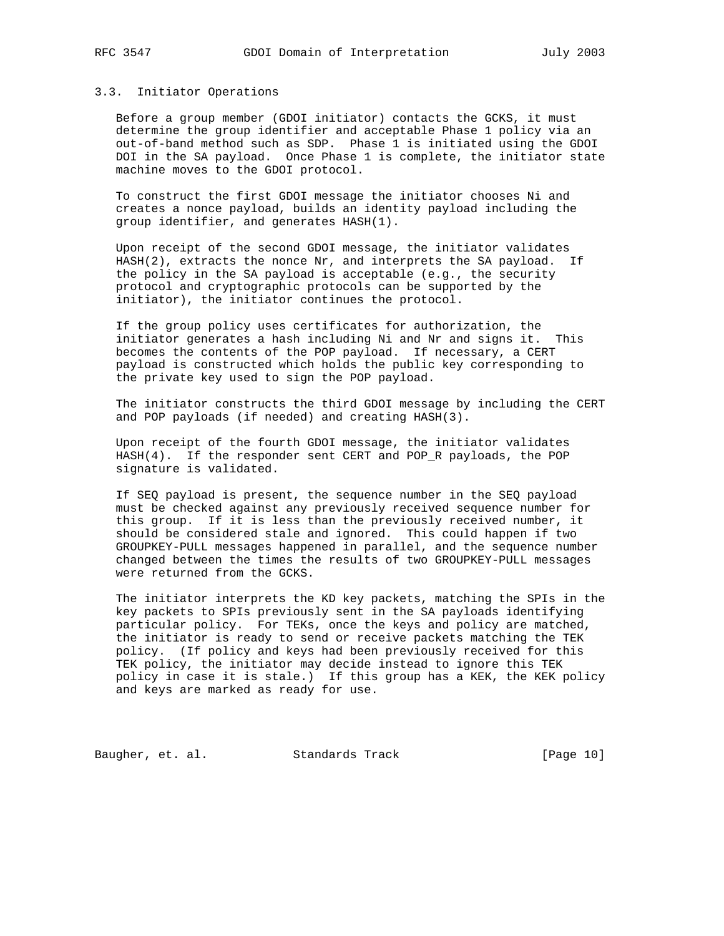### 3.3. Initiator Operations

 Before a group member (GDOI initiator) contacts the GCKS, it must determine the group identifier and acceptable Phase 1 policy via an out-of-band method such as SDP. Phase 1 is initiated using the GDOI DOI in the SA payload. Once Phase 1 is complete, the initiator state machine moves to the GDOI protocol.

 To construct the first GDOI message the initiator chooses Ni and creates a nonce payload, builds an identity payload including the group identifier, and generates HASH(1).

 Upon receipt of the second GDOI message, the initiator validates HASH(2), extracts the nonce Nr, and interprets the SA payload. If the policy in the SA payload is acceptable (e.g., the security protocol and cryptographic protocols can be supported by the initiator), the initiator continues the protocol.

 If the group policy uses certificates for authorization, the initiator generates a hash including Ni and Nr and signs it. This becomes the contents of the POP payload. If necessary, a CERT payload is constructed which holds the public key corresponding to the private key used to sign the POP payload.

 The initiator constructs the third GDOI message by including the CERT and POP payloads (if needed) and creating HASH(3).

 Upon receipt of the fourth GDOI message, the initiator validates HASH(4). If the responder sent CERT and POP\_R payloads, the POP signature is validated.

 If SEQ payload is present, the sequence number in the SEQ payload must be checked against any previously received sequence number for this group. If it is less than the previously received number, it should be considered stale and ignored. This could happen if two GROUPKEY-PULL messages happened in parallel, and the sequence number changed between the times the results of two GROUPKEY-PULL messages were returned from the GCKS.

 The initiator interprets the KD key packets, matching the SPIs in the key packets to SPIs previously sent in the SA payloads identifying particular policy. For TEKs, once the keys and policy are matched, the initiator is ready to send or receive packets matching the TEK policy. (If policy and keys had been previously received for this TEK policy, the initiator may decide instead to ignore this TEK policy in case it is stale.) If this group has a KEK, the KEK policy and keys are marked as ready for use.

Baugher, et. al. Standards Track [Page 10]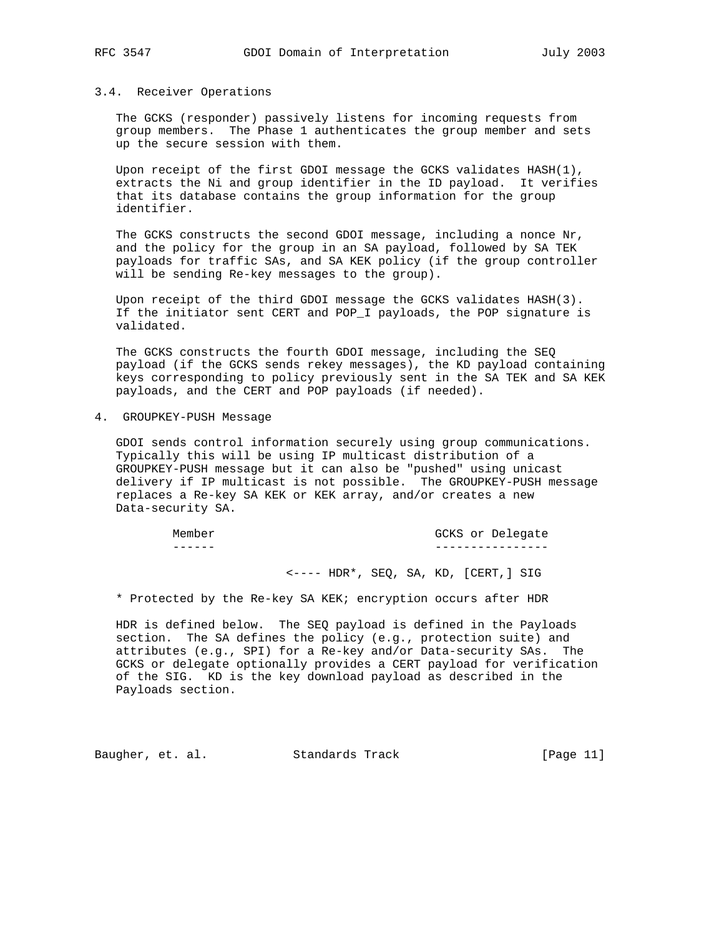### 3.4. Receiver Operations

 The GCKS (responder) passively listens for incoming requests from group members. The Phase 1 authenticates the group member and sets up the secure session with them.

 Upon receipt of the first GDOI message the GCKS validates HASH(1), extracts the Ni and group identifier in the ID payload. It verifies that its database contains the group information for the group identifier.

 The GCKS constructs the second GDOI message, including a nonce Nr, and the policy for the group in an SA payload, followed by SA TEK payloads for traffic SAs, and SA KEK policy (if the group controller will be sending Re-key messages to the group).

 Upon receipt of the third GDOI message the GCKS validates HASH(3). If the initiator sent CERT and POP\_I payloads, the POP signature is validated.

 The GCKS constructs the fourth GDOI message, including the SEQ payload (if the GCKS sends rekey messages), the KD payload containing keys corresponding to policy previously sent in the SA TEK and SA KEK payloads, and the CERT and POP payloads (if needed).

4. GROUPKEY-PUSH Message

 GDOI sends control information securely using group communications. Typically this will be using IP multicast distribution of a GROUPKEY-PUSH message but it can also be "pushed" using unicast delivery if IP multicast is not possible. The GROUPKEY-PUSH message replaces a Re-key SA KEK or KEK array, and/or creates a new Data-security SA.

| Member | GCKS<br>or Delegate |
|--------|---------------------|
| -----  |                     |

<---- HDR\*, SEQ, SA, KD, [CERT,] SIG

\* Protected by the Re-key SA KEK; encryption occurs after HDR

 HDR is defined below. The SEQ payload is defined in the Payloads section. The SA defines the policy (e.g., protection suite) and attributes (e.g., SPI) for a Re-key and/or Data-security SAs. The GCKS or delegate optionally provides a CERT payload for verification of the SIG. KD is the key download payload as described in the Payloads section.

Baugher, et. al. Standards Track [Page 11]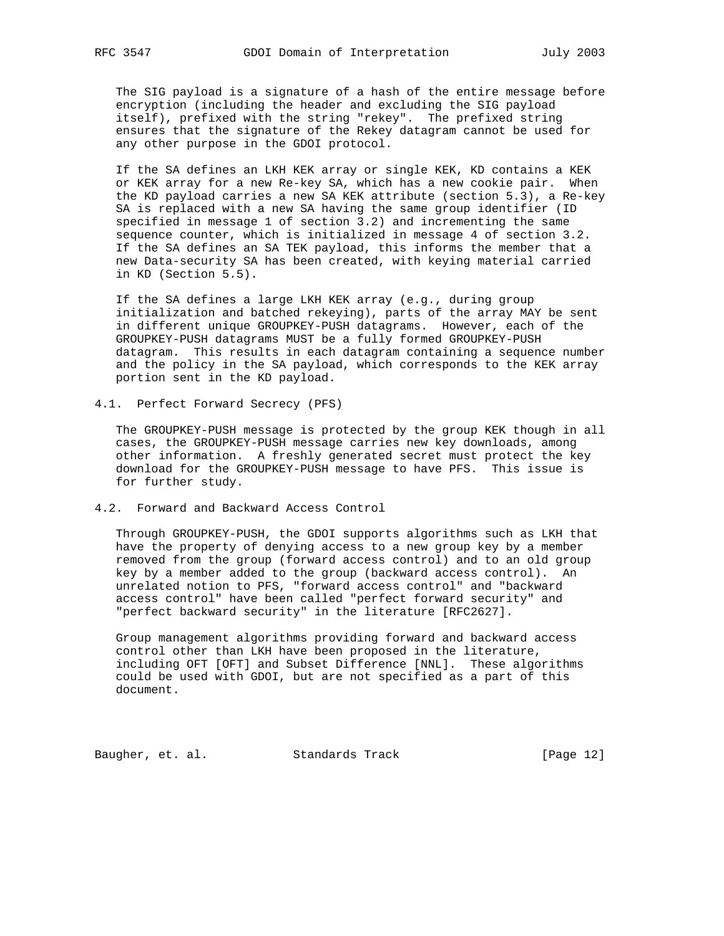The SIG payload is a signature of a hash of the entire message before encryption (including the header and excluding the SIG payload itself), prefixed with the string "rekey". The prefixed string ensures that the signature of the Rekey datagram cannot be used for any other purpose in the GDOI protocol.

 If the SA defines an LKH KEK array or single KEK, KD contains a KEK or KEK array for a new Re-key SA, which has a new cookie pair. When the KD payload carries a new SA KEK attribute (section 5.3), a Re-key SA is replaced with a new SA having the same group identifier (ID specified in message 1 of section 3.2) and incrementing the same sequence counter, which is initialized in message 4 of section 3.2. If the SA defines an SA TEK payload, this informs the member that a new Data-security SA has been created, with keying material carried in KD (Section 5.5).

 If the SA defines a large LKH KEK array (e.g., during group initialization and batched rekeying), parts of the array MAY be sent in different unique GROUPKEY-PUSH datagrams. However, each of the GROUPKEY-PUSH datagrams MUST be a fully formed GROUPKEY-PUSH datagram. This results in each datagram containing a sequence number and the policy in the SA payload, which corresponds to the KEK array portion sent in the KD payload.

4.1. Perfect Forward Secrecy (PFS)

 The GROUPKEY-PUSH message is protected by the group KEK though in all cases, the GROUPKEY-PUSH message carries new key downloads, among other information. A freshly generated secret must protect the key download for the GROUPKEY-PUSH message to have PFS. This issue is for further study.

4.2. Forward and Backward Access Control

 Through GROUPKEY-PUSH, the GDOI supports algorithms such as LKH that have the property of denying access to a new group key by a member removed from the group (forward access control) and to an old group key by a member added to the group (backward access control). An unrelated notion to PFS, "forward access control" and "backward access control" have been called "perfect forward security" and "perfect backward security" in the literature [RFC2627].

 Group management algorithms providing forward and backward access control other than LKH have been proposed in the literature, including OFT [OFT] and Subset Difference [NNL]. These algorithms could be used with GDOI, but are not specified as a part of this document.

Baugher, et. al. Standards Track [Page 12]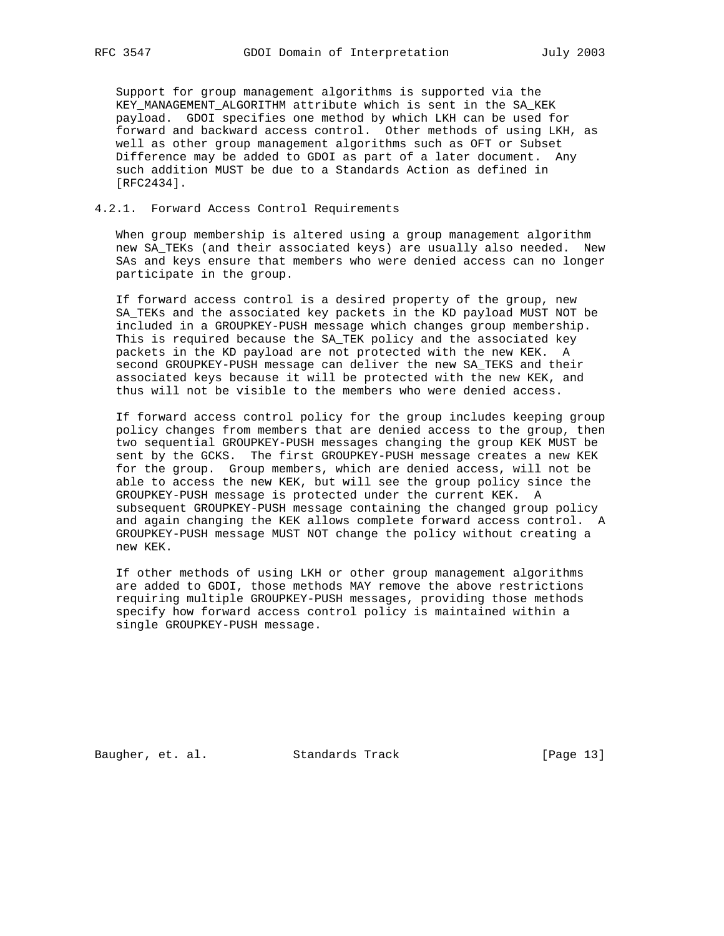Support for group management algorithms is supported via the KEY\_MANAGEMENT\_ALGORITHM attribute which is sent in the SA\_KEK payload. GDOI specifies one method by which LKH can be used for forward and backward access control. Other methods of using LKH, as well as other group management algorithms such as OFT or Subset Difference may be added to GDOI as part of a later document. Any such addition MUST be due to a Standards Action as defined in [RFC2434].

## 4.2.1. Forward Access Control Requirements

 When group membership is altered using a group management algorithm new SA TEKs (and their associated keys) are usually also needed. New SAs and keys ensure that members who were denied access can no longer participate in the group.

 If forward access control is a desired property of the group, new SA\_TEKs and the associated key packets in the KD payload MUST NOT be included in a GROUPKEY-PUSH message which changes group membership. This is required because the SA\_TEK policy and the associated key packets in the KD payload are not protected with the new KEK. A second GROUPKEY-PUSH message can deliver the new SA\_TEKS and their associated keys because it will be protected with the new KEK, and thus will not be visible to the members who were denied access.

 If forward access control policy for the group includes keeping group policy changes from members that are denied access to the group, then two sequential GROUPKEY-PUSH messages changing the group KEK MUST be sent by the GCKS. The first GROUPKEY-PUSH message creates a new KEK for the group. Group members, which are denied access, will not be able to access the new KEK, but will see the group policy since the GROUPKEY-PUSH message is protected under the current KEK. A subsequent GROUPKEY-PUSH message containing the changed group policy and again changing the KEK allows complete forward access control. A GROUPKEY-PUSH message MUST NOT change the policy without creating a new KEK.

 If other methods of using LKH or other group management algorithms are added to GDOI, those methods MAY remove the above restrictions requiring multiple GROUPKEY-PUSH messages, providing those methods specify how forward access control policy is maintained within a single GROUPKEY-PUSH message.

Baugher, et. al. Standards Track [Page 13]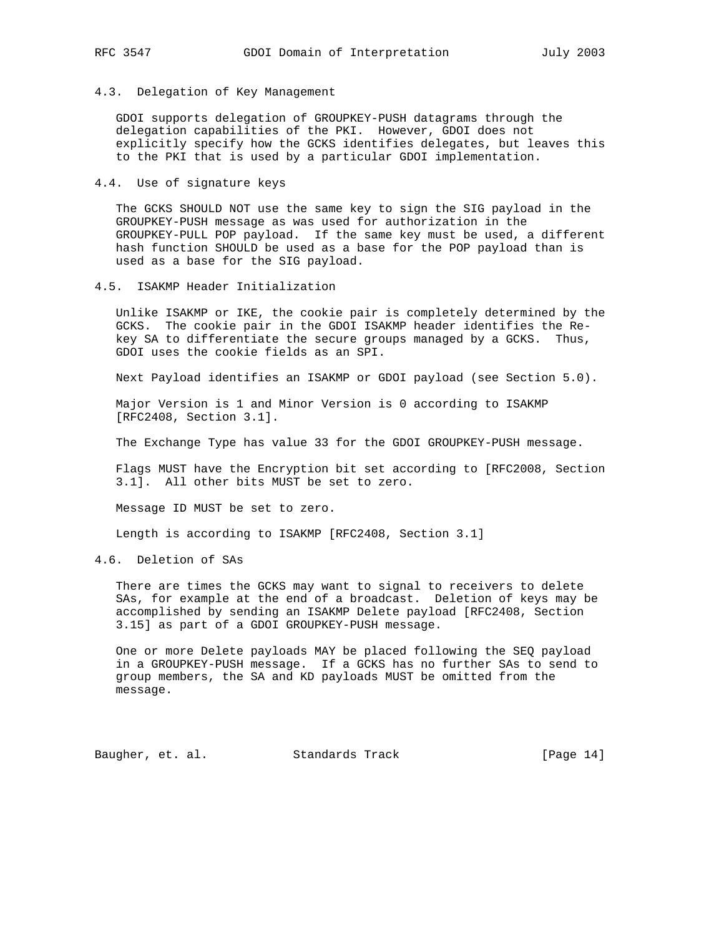4.3. Delegation of Key Management

 GDOI supports delegation of GROUPKEY-PUSH datagrams through the delegation capabilities of the PKI. However, GDOI does not explicitly specify how the GCKS identifies delegates, but leaves this to the PKI that is used by a particular GDOI implementation.

4.4. Use of signature keys

 The GCKS SHOULD NOT use the same key to sign the SIG payload in the GROUPKEY-PUSH message as was used for authorization in the GROUPKEY-PULL POP payload. If the same key must be used, a different hash function SHOULD be used as a base for the POP payload than is used as a base for the SIG payload.

4.5. ISAKMP Header Initialization

 Unlike ISAKMP or IKE, the cookie pair is completely determined by the GCKS. The cookie pair in the GDOI ISAKMP header identifies the Re key SA to differentiate the secure groups managed by a GCKS. Thus, GDOI uses the cookie fields as an SPI.

Next Payload identifies an ISAKMP or GDOI payload (see Section 5.0).

 Major Version is 1 and Minor Version is 0 according to ISAKMP [RFC2408, Section 3.1].

The Exchange Type has value 33 for the GDOI GROUPKEY-PUSH message.

 Flags MUST have the Encryption bit set according to [RFC2008, Section 3.1]. All other bits MUST be set to zero.

Message ID MUST be set to zero.

Length is according to ISAKMP [RFC2408, Section 3.1]

4.6. Deletion of SAs

 There are times the GCKS may want to signal to receivers to delete SAs, for example at the end of a broadcast. Deletion of keys may be accomplished by sending an ISAKMP Delete payload [RFC2408, Section 3.15] as part of a GDOI GROUPKEY-PUSH message.

 One or more Delete payloads MAY be placed following the SEQ payload in a GROUPKEY-PUSH message. If a GCKS has no further SAs to send to group members, the SA and KD payloads MUST be omitted from the message.

Baugher, et. al. Standards Track [Page 14]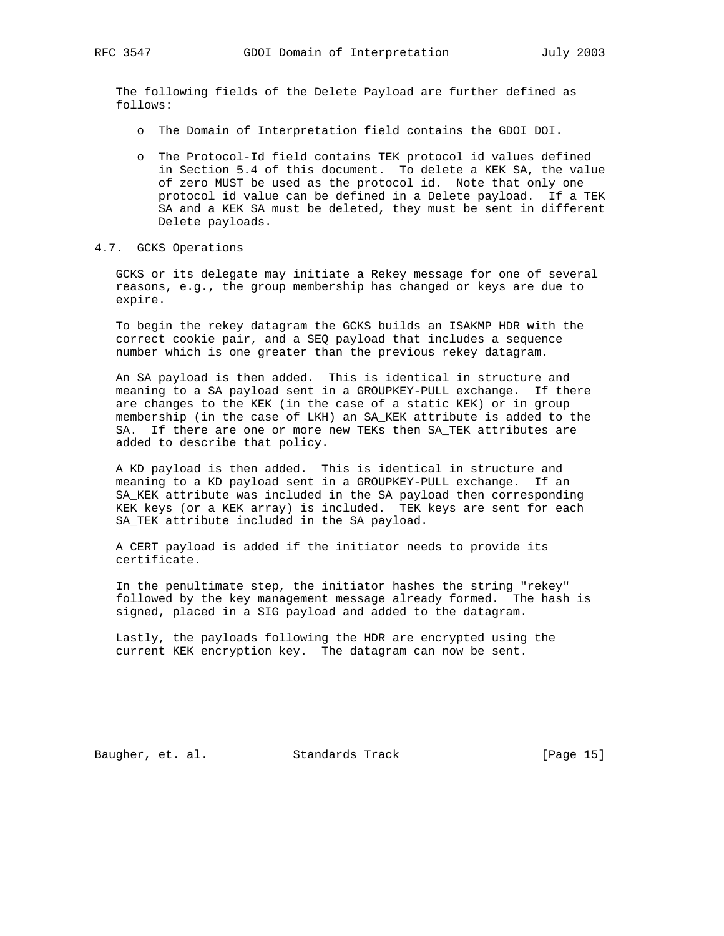The following fields of the Delete Payload are further defined as follows:

- o The Domain of Interpretation field contains the GDOI DOI.
- o The Protocol-Id field contains TEK protocol id values defined in Section 5.4 of this document. To delete a KEK SA, the value of zero MUST be used as the protocol id. Note that only one protocol id value can be defined in a Delete payload. If a TEK SA and a KEK SA must be deleted, they must be sent in different Delete payloads.
- 4.7. GCKS Operations

 GCKS or its delegate may initiate a Rekey message for one of several reasons, e.g., the group membership has changed or keys are due to expire.

 To begin the rekey datagram the GCKS builds an ISAKMP HDR with the correct cookie pair, and a SEQ payload that includes a sequence number which is one greater than the previous rekey datagram.

 An SA payload is then added. This is identical in structure and meaning to a SA payload sent in a GROUPKEY-PULL exchange. If there are changes to the KEK (in the case of a static KEK) or in group membership (in the case of LKH) an SA\_KEK attribute is added to the SA. If there are one or more new TEKs then SA\_TEK attributes are added to describe that policy.

 A KD payload is then added. This is identical in structure and meaning to a KD payload sent in a GROUPKEY-PULL exchange. If an SA\_KEK attribute was included in the SA payload then corresponding KEK keys (or a KEK array) is included. TEK keys are sent for each SA\_TEK attribute included in the SA payload.

 A CERT payload is added if the initiator needs to provide its certificate.

 In the penultimate step, the initiator hashes the string "rekey" followed by the key management message already formed. The hash is signed, placed in a SIG payload and added to the datagram.

 Lastly, the payloads following the HDR are encrypted using the current KEK encryption key. The datagram can now be sent.

Baugher, et. al. Standards Track [Page 15]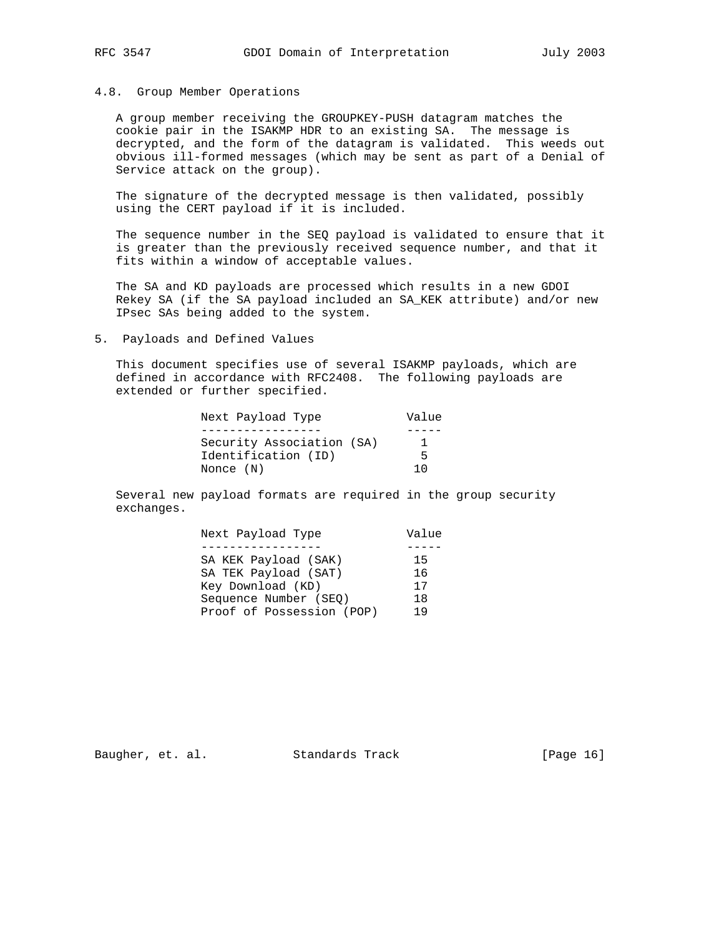### 4.8. Group Member Operations

 A group member receiving the GROUPKEY-PUSH datagram matches the cookie pair in the ISAKMP HDR to an existing SA. The message is decrypted, and the form of the datagram is validated. This weeds out obvious ill-formed messages (which may be sent as part of a Denial of Service attack on the group).

 The signature of the decrypted message is then validated, possibly using the CERT payload if it is included.

 The sequence number in the SEQ payload is validated to ensure that it is greater than the previously received sequence number, and that it fits within a window of acceptable values.

 The SA and KD payloads are processed which results in a new GDOI Rekey SA (if the SA payload included an SA\_KEK attribute) and/or new IPsec SAs being added to the system.

5. Payloads and Defined Values

 This document specifies use of several ISAKMP payloads, which are defined in accordance with RFC2408. The following payloads are extended or further specified.

| Next Payload Type         | Value |
|---------------------------|-------|
|                           |       |
| Security Association (SA) |       |
| Identification (ID)       | 5     |
| Nonce (N)                 | 1 በ   |

 Several new payload formats are required in the group security exchanges.

| Next Payload Type         | Value |
|---------------------------|-------|
|                           |       |
| SA KEK Payload (SAK)      | 15    |
| SA TEK Payload (SAT)      | 16    |
| Key Download (KD)         | 17    |
| Sequence Number (SEO)     | 18    |
| Proof of Possession (POP) | 19    |

Baugher, et. al. Standards Track [Page 16]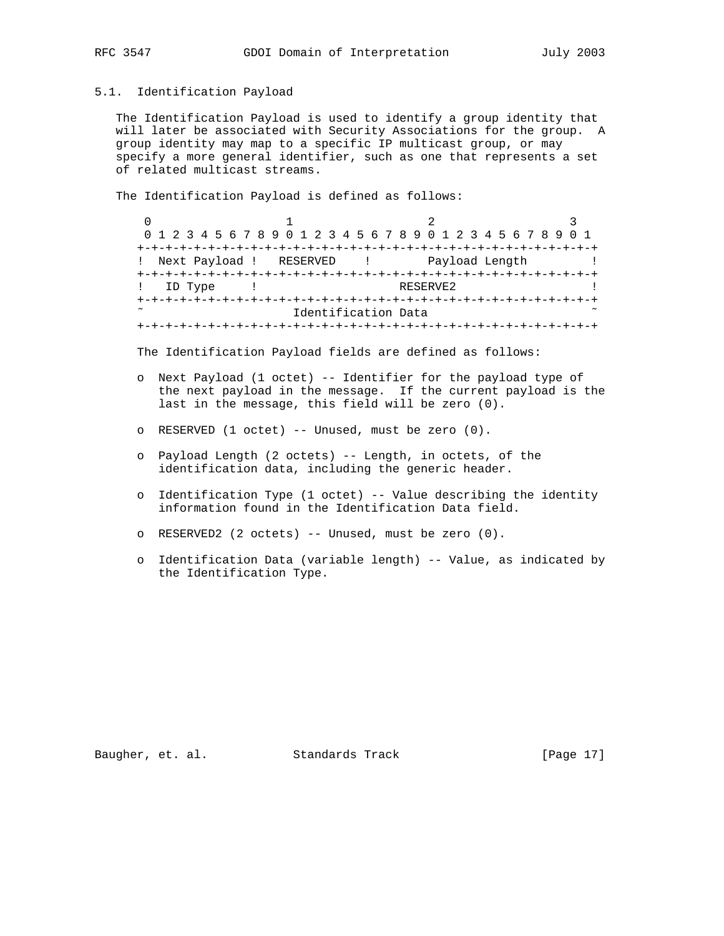### 5.1. Identification Payload

 The Identification Payload is used to identify a group identity that will later be associated with Security Associations for the group. A group identity may map to a specific IP multicast group, or may specify a more general identifier, such as one that represents a set of related multicast streams.

The Identification Payload is defined as follows:

 $0$  1 2 3 0 1 2 3 4 5 6 7 8 9 0 1 2 3 4 5 6 7 8 9 0 1 2 3 4 5 6 7 8 9 0 1 +-+-+-+-+-+-+-+-+-+-+-+-+-+-+-+-+-+-+-+-+-+-+-+-+-+-+-+-+-+-+-+-+ ! Next Payload ! RESERVED ! Payload Length ! +-+-+-+-+-+-+-+-+-+-+-+-+-+-+-+-+-+-+-+-+-+-+-+-+-+-+-+-+-+-+-+-+ ! ID Type ! +-+-+-+-+-+-+-+-+-+-+-+-+-+-+-+-+-+-+-+-+-+-+-+-+-+-+-+-+-+-+-+-+ Identification Data +-+-+-+-+-+-+-+-+-+-+-+-+-+-+-+-+-+-+-+-+-+-+-+-+-+-+-+-+-+-+-+-+

The Identification Payload fields are defined as follows:

- o Next Payload (1 octet) -- Identifier for the payload type of the next payload in the message. If the current payload is the last in the message, this field will be zero (0).
- o RESERVED (1 octet) -- Unused, must be zero (0).
- o Payload Length (2 octets) -- Length, in octets, of the identification data, including the generic header.
- o Identification Type (1 octet) -- Value describing the identity information found in the Identification Data field.
- o RESERVED2 (2 octets) -- Unused, must be zero (0).
- o Identification Data (variable length) -- Value, as indicated by the Identification Type.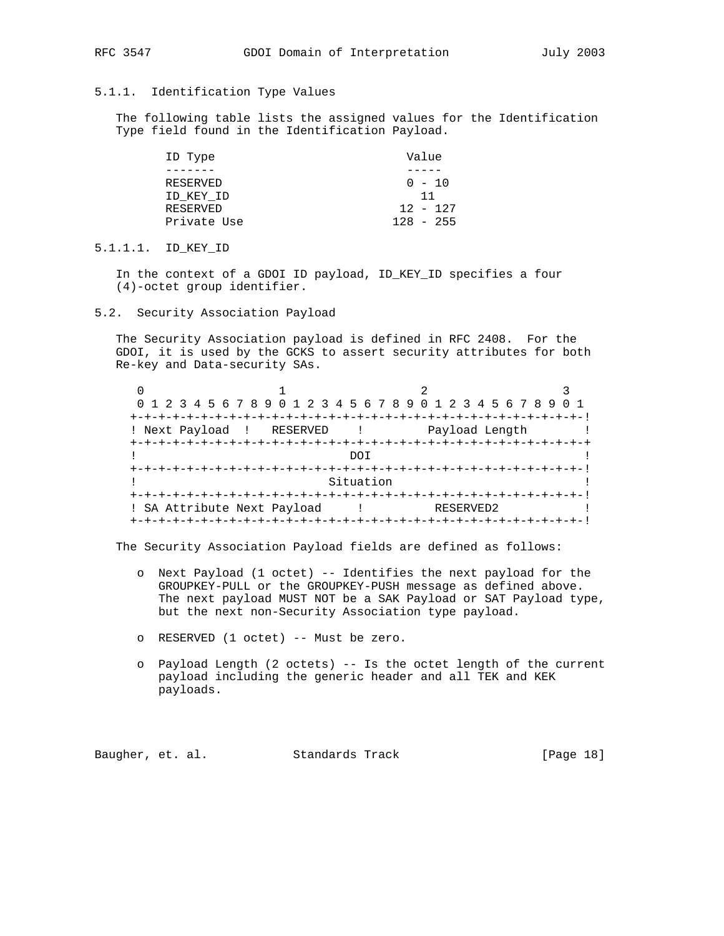# 5.1.1. Identification Type Values

 The following table lists the assigned values for the Identification Type field found in the Identification Payload.

| ID Type     | Value       |
|-------------|-------------|
|             |             |
| RESERVED    | $0 - 10$    |
| ID KEY ID   | 11          |
| RESERVED    | $12 - 127$  |
| Private Use | $128 - 255$ |

5.1.1.1. ID\_KEY\_ID

 In the context of a GDOI ID payload, ID\_KEY\_ID specifies a four (4)-octet group identifier.

5.2. Security Association Payload

 The Security Association payload is defined in RFC 2408. For the GDOI, it is used by the GCKS to assert security attributes for both Re-key and Data-security SAs.

|                             | 0 1 2 3 4 5 6 7 8 9 0 1 2 3 4 5 6 7 8 9 0 1 2 3 4 5 6 7 8 9 |                         |                |  |
|-----------------------------|-------------------------------------------------------------|-------------------------|----------------|--|
|                             |                                                             |                         |                |  |
|                             | ! Next Payload ! RESERVED                                   | $\sim 100$ km s $^{-1}$ | Payload Length |  |
|                             |                                                             |                         |                |  |
|                             |                                                             | DOT                     |                |  |
|                             |                                                             |                         |                |  |
|                             |                                                             | Situation               |                |  |
|                             |                                                             |                         |                |  |
| ! SA Attribute Next Payload |                                                             |                         | RESERVED2      |  |
|                             |                                                             |                         |                |  |

The Security Association Payload fields are defined as follows:

- o Next Payload (1 octet) -- Identifies the next payload for the GROUPKEY-PULL or the GROUPKEY-PUSH message as defined above. The next payload MUST NOT be a SAK Payload or SAT Payload type, but the next non-Security Association type payload.
- o RESERVED (1 octet) -- Must be zero.
- o Payload Length (2 octets) -- Is the octet length of the current payload including the generic header and all TEK and KEK payloads.

Baugher, et. al. Standards Track [Page 18]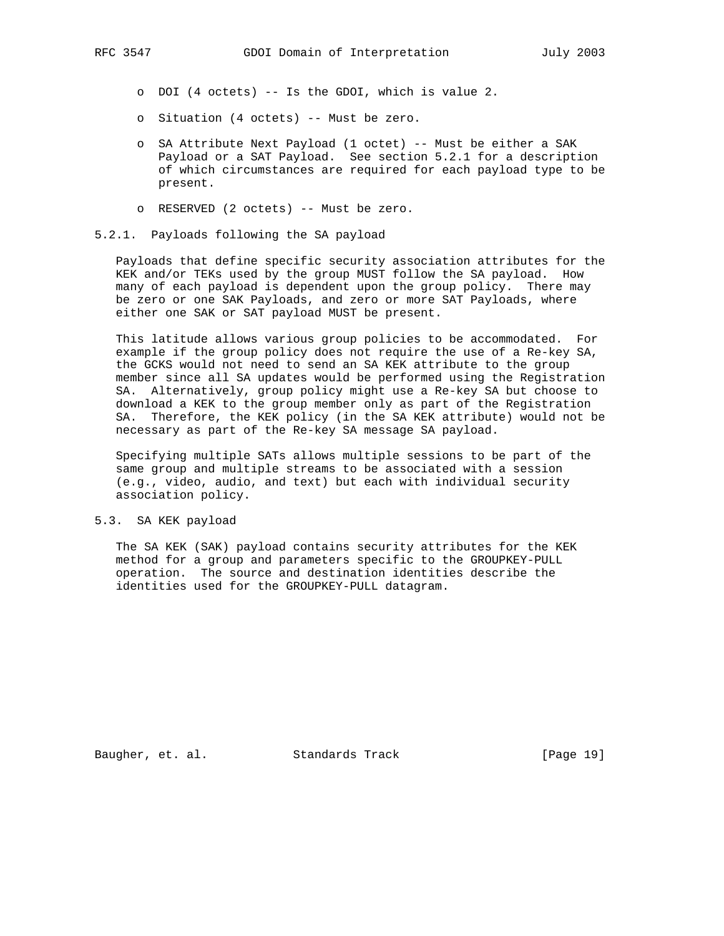- o DOI (4 octets) -- Is the GDOI, which is value 2.
- o Situation (4 octets) -- Must be zero.
- o SA Attribute Next Payload (1 octet) -- Must be either a SAK Payload or a SAT Payload. See section 5.2.1 for a description of which circumstances are required for each payload type to be present.
- o RESERVED (2 octets) -- Must be zero.

## 5.2.1. Payloads following the SA payload

 Payloads that define specific security association attributes for the KEK and/or TEKs used by the group MUST follow the SA payload. How many of each payload is dependent upon the group policy. There may be zero or one SAK Payloads, and zero or more SAT Payloads, where either one SAK or SAT payload MUST be present.

 This latitude allows various group policies to be accommodated. For example if the group policy does not require the use of a Re-key SA, the GCKS would not need to send an SA KEK attribute to the group member since all SA updates would be performed using the Registration SA. Alternatively, group policy might use a Re-key SA but choose to download a KEK to the group member only as part of the Registration SA. Therefore, the KEK policy (in the SA KEK attribute) would not be necessary as part of the Re-key SA message SA payload.

 Specifying multiple SATs allows multiple sessions to be part of the same group and multiple streams to be associated with a session (e.g., video, audio, and text) but each with individual security association policy.

## 5.3. SA KEK payload

 The SA KEK (SAK) payload contains security attributes for the KEK method for a group and parameters specific to the GROUPKEY-PULL operation. The source and destination identities describe the identities used for the GROUPKEY-PULL datagram.

Baugher, et. al. Standards Track [Page 19]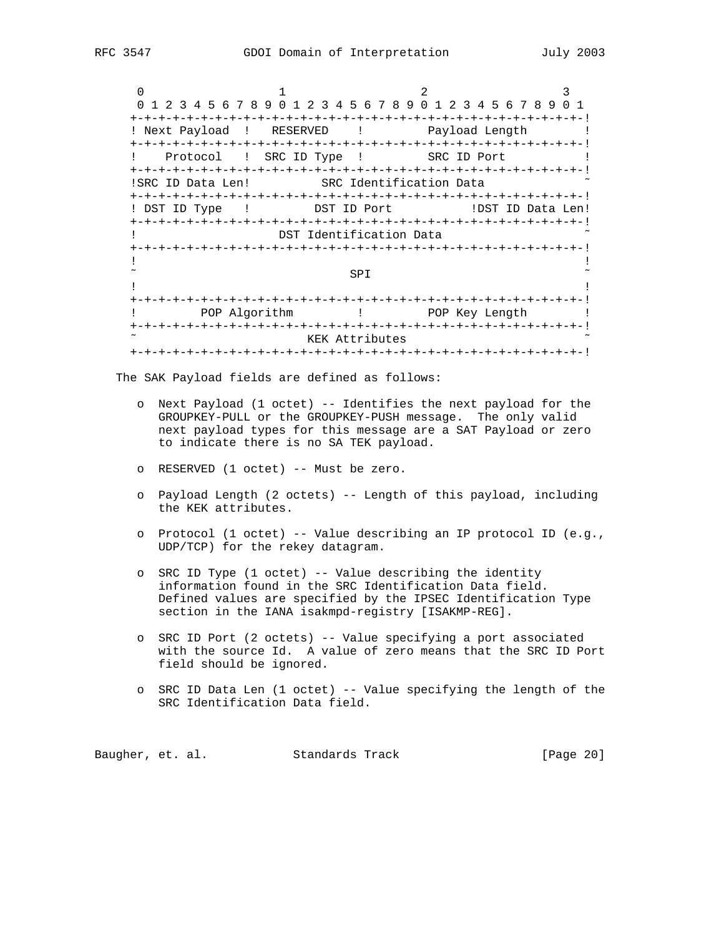$0$  and  $1$  and  $2$  3 0 1 2 3 4 5 6 7 8 9 0 1 2 3 4 5 6 7 8 9 0 1 2 3 4 5 6 7 8 9 0 1 +-+-+-+-+-+-+-+-+-+-+-+-+-+-+-+-+-+-+-+-+-+-+-+-+-+-+-+-+-+-+-+-! ! Next Payload ! RESERVED ! Payload Length ! +-+-+-+-+-+-+-+-+-+-+-+-+-+-+-+-+-+-+-+-+-+-+-+-+-+-+-+-+-+-+-+-! ! Protocol ! SRC ID Type ! SRC ID Port ! +-+-+-+-+-+-+-+-+-+-+-+-+-+-+-+-+-+-+-+-+-+-+-+-+-+-+-+-+-+-+-+-! !SRC ID Data Len! SRC Identification Data +-+-+-+-+-+-+-+-+-+-+-+-+-+-+-+-+-+-+-+-+-+-+-+-+-+-+-+-+-+-+-+-! ! DST ID Type ! DST ID Port ! ! DST ID Data Len! +-+-+-+-+-+-+-+-+-+-+-+-+-+-+-+-+-+-+-+-+-+-+-+-+-+-+-+-+-+-+-+-! ! DST Identification Data +-+-+-+-+-+-+-+-+-+-+-+-+-+-+-+-+-+-+-+-+-+-+-+-+-+-+-+-+-+-+-+-! . The contract of the contract of the contract of the contract of the contract of the contract of the contract  $\sim$  SPI  $\sim$ . The contract of the contract of the contract of the contract of the contract of the contract of the contract +-+-+-+-+-+-+-+-+-+-+-+-+-+-+-+-+-+-+-+-+-+-+-+-+-+-+-+-+-+-+-+-! ! POP Algorithm ! POP Key Length ! +-+-+-+-+-+-+-+-+-+-+-+-+-+-+-+-+-+-+-+-+-+-+-+-+-+-+-+-+-+-+-+-! KEK Attributes +-+-+-+-+-+-+-+-+-+-+-+-+-+-+-+-+-+-+-+-+-+-+-+-+-+-+-+-+-+-+-+-!

The SAK Payload fields are defined as follows:

- o Next Payload (1 octet) -- Identifies the next payload for the GROUPKEY-PULL or the GROUPKEY-PUSH message. The only valid next payload types for this message are a SAT Payload or zero to indicate there is no SA TEK payload.
- o RESERVED (1 octet) -- Must be zero.
- o Payload Length (2 octets) -- Length of this payload, including the KEK attributes.
- o Protocol (1 octet) -- Value describing an IP protocol ID (e.g., UDP/TCP) for the rekey datagram.
- o SRC ID Type (1 octet) -- Value describing the identity information found in the SRC Identification Data field. Defined values are specified by the IPSEC Identification Type section in the IANA isakmpd-registry [ISAKMP-REG].
- o SRC ID Port (2 octets) -- Value specifying a port associated with the source Id. A value of zero means that the SRC ID Port field should be ignored.
- o SRC ID Data Len (1 octet) -- Value specifying the length of the SRC Identification Data field.

Baugher, et. al. Standards Track [Page 20]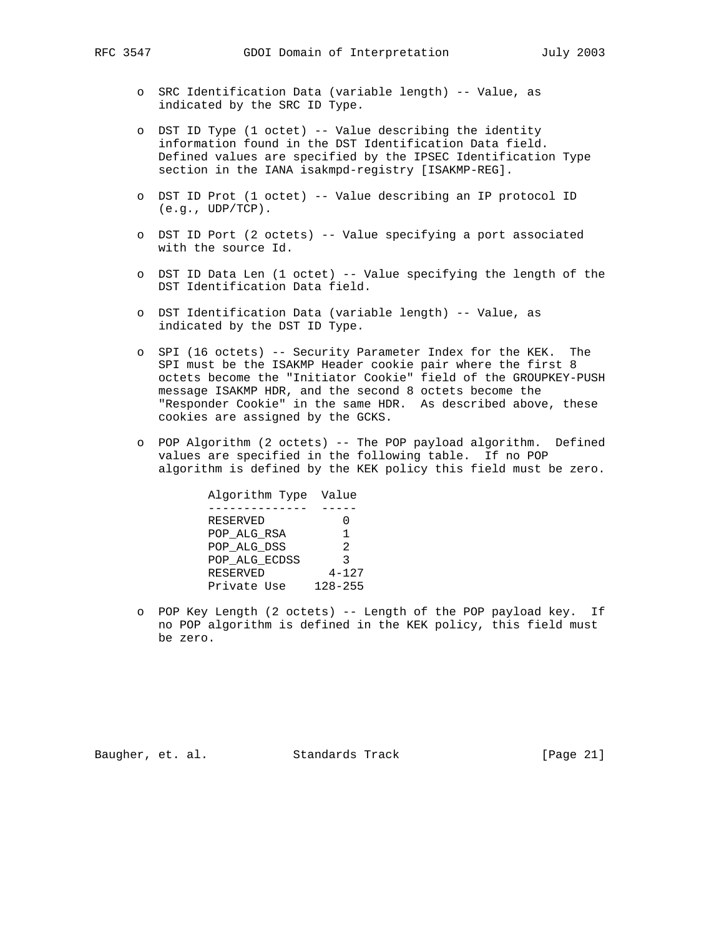- o SRC Identification Data (variable length) -- Value, as indicated by the SRC ID Type.
- o DST ID Type (1 octet) -- Value describing the identity information found in the DST Identification Data field. Defined values are specified by the IPSEC Identification Type section in the IANA isakmpd-registry [ISAKMP-REG].
- o DST ID Prot (1 octet) -- Value describing an IP protocol ID  $(e,q, UDP/TCP)$ .
- o DST ID Port (2 octets) -- Value specifying a port associated with the source Id.
- o DST ID Data Len (1 octet) -- Value specifying the length of the DST Identification Data field.
- o DST Identification Data (variable length) -- Value, as indicated by the DST ID Type.
- o SPI (16 octets) -- Security Parameter Index for the KEK. The SPI must be the ISAKMP Header cookie pair where the first 8 octets become the "Initiator Cookie" field of the GROUPKEY-PUSH message ISAKMP HDR, and the second 8 octets become the "Responder Cookie" in the same HDR. As described above, these cookies are assigned by the GCKS.
- o POP Algorithm (2 octets) -- The POP payload algorithm. Defined values are specified in the following table. If no POP algorithm is defined by the KEK policy this field must be zero.

| Algorithm Type Value |             |
|----------------------|-------------|
|                      |             |
| RESERVED             |             |
| POP ALG RSA          | 1           |
| POP ALG DSS          | 2           |
| POP ALG ECDSS        | ર           |
| RESERVED             | $4 - 127$   |
| Private Use          | $128 - 255$ |
|                      |             |

 o POP Key Length (2 octets) -- Length of the POP payload key. If no POP algorithm is defined in the KEK policy, this field must be zero.

Baugher, et. al. Standards Track [Page 21]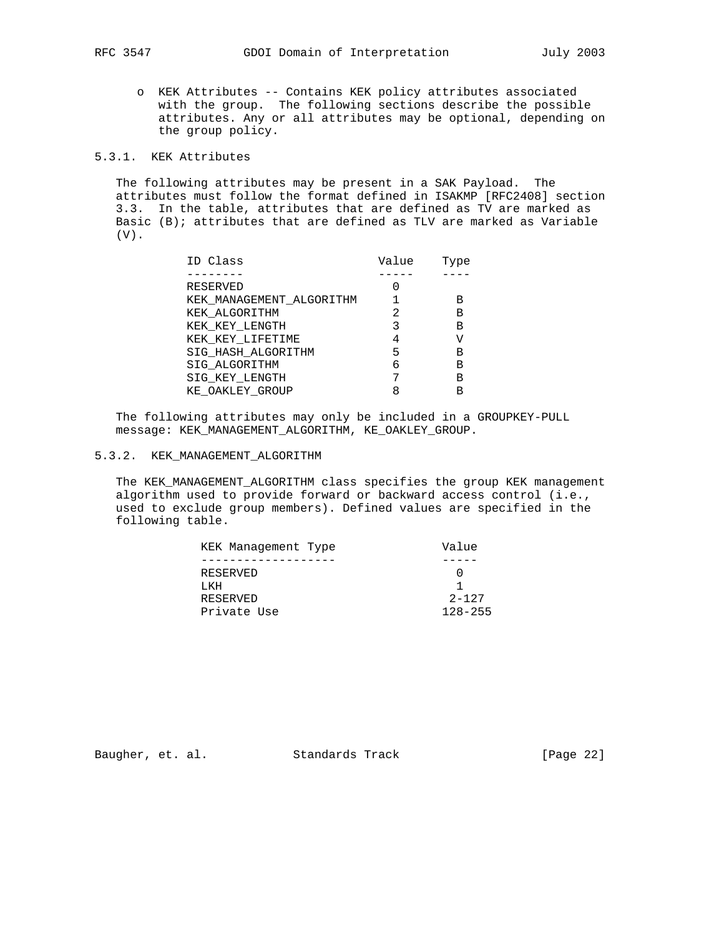o KEK Attributes -- Contains KEK policy attributes associated with the group. The following sections describe the possible attributes. Any or all attributes may be optional, depending on the group policy.

# 5.3.1. KEK Attributes

 The following attributes may be present in a SAK Payload. The attributes must follow the format defined in ISAKMP [RFC2408] section 3.3. In the table, attributes that are defined as TV are marked as Basic  $(B)$ ; attributes that are defined as TLV are marked as Variable (V).

| ID Class                 | Value | Type |
|--------------------------|-------|------|
|                          |       |      |
| RESERVED                 |       |      |
| KEK MANAGEMENT ALGORITHM |       | в    |
| KEK ALGORITHM            |       | в    |
| KEK KEY LENGTH           |       | в    |
| KEK_KEY_LIFETIME         |       |      |
| SIG HASH ALGORITHM       | 5     | в    |
| SIG ALGORITHM            | 6     | в    |
| SIG KEY LENGTH           |       | в    |
| KE OAKLEY GROUP          |       |      |

 The following attributes may only be included in a GROUPKEY-PULL message: KEK\_MANAGEMENT\_ALGORITHM, KE\_OAKLEY\_GROUP.

# 5.3.2. KEK\_MANAGEMENT\_ALGORITHM

 The KEK\_MANAGEMENT\_ALGORITHM class specifies the group KEK management algorithm used to provide forward or backward access control (i.e., used to exclude group members). Defined values are specified in the following table.

| KEK Management Type | Value       |
|---------------------|-------------|
|                     |             |
| RESERVED            |             |
| T KH                |             |
| RESERVED            | $2 - 127$   |
| Private Use         | $128 - 255$ |

Baugher, et. al. Standards Track [Page 22]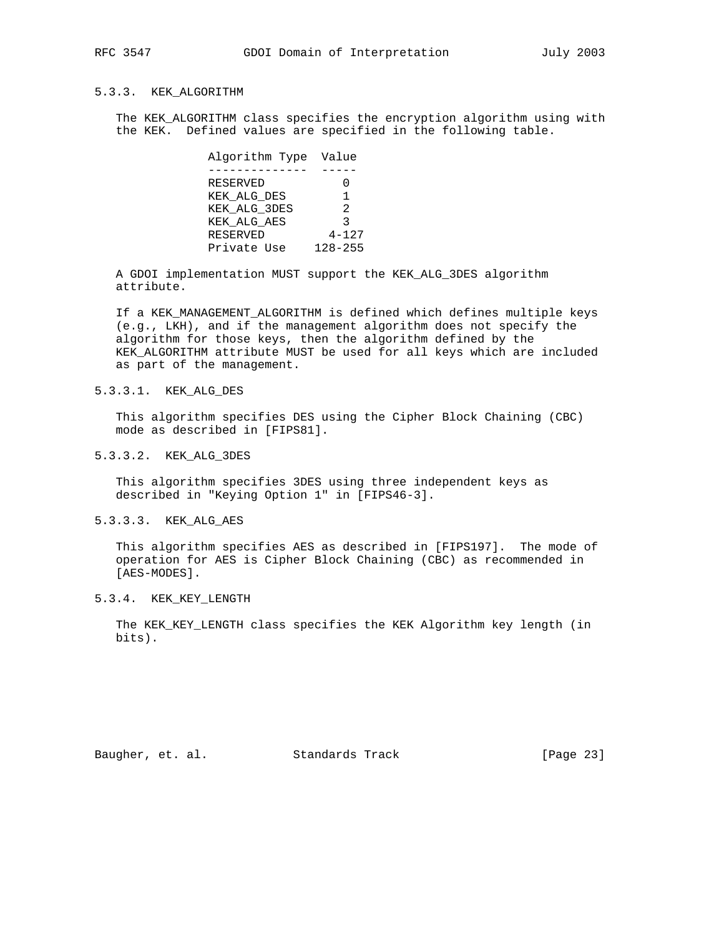# 5.3.3. KEK\_ALGORITHM

 The KEK\_ALGORITHM class specifies the encryption algorithm using with the KEK. Defined values are specified in the following table.

| Algorithm Type Value |             |
|----------------------|-------------|
|                      |             |
| RESERVED             | 0           |
| KEK ALG DES          | 1           |
| KEK ALG 3DES         | 2           |
| KEK ALG AES          | ζ           |
| RESERVED             | $4 - 127$   |
| Private Use          | $128 - 255$ |

 A GDOI implementation MUST support the KEK\_ALG\_3DES algorithm attribute.

 If a KEK\_MANAGEMENT\_ALGORITHM is defined which defines multiple keys (e.g., LKH), and if the management algorithm does not specify the algorithm for those keys, then the algorithm defined by the KEK\_ALGORITHM attribute MUST be used for all keys which are included as part of the management.

# 5.3.3.1. KEK\_ALG\_DES

 This algorithm specifies DES using the Cipher Block Chaining (CBC) mode as described in [FIPS81].

### 5.3.3.2. KEK\_ALG\_3DES

 This algorithm specifies 3DES using three independent keys as described in "Keying Option 1" in [FIPS46-3].

## 5.3.3.3. KEK\_ALG\_AES

 This algorithm specifies AES as described in [FIPS197]. The mode of operation for AES is Cipher Block Chaining (CBC) as recommended in [AES-MODES].

### 5.3.4. KEK\_KEY\_LENGTH

 The KEK\_KEY\_LENGTH class specifies the KEK Algorithm key length (in bits).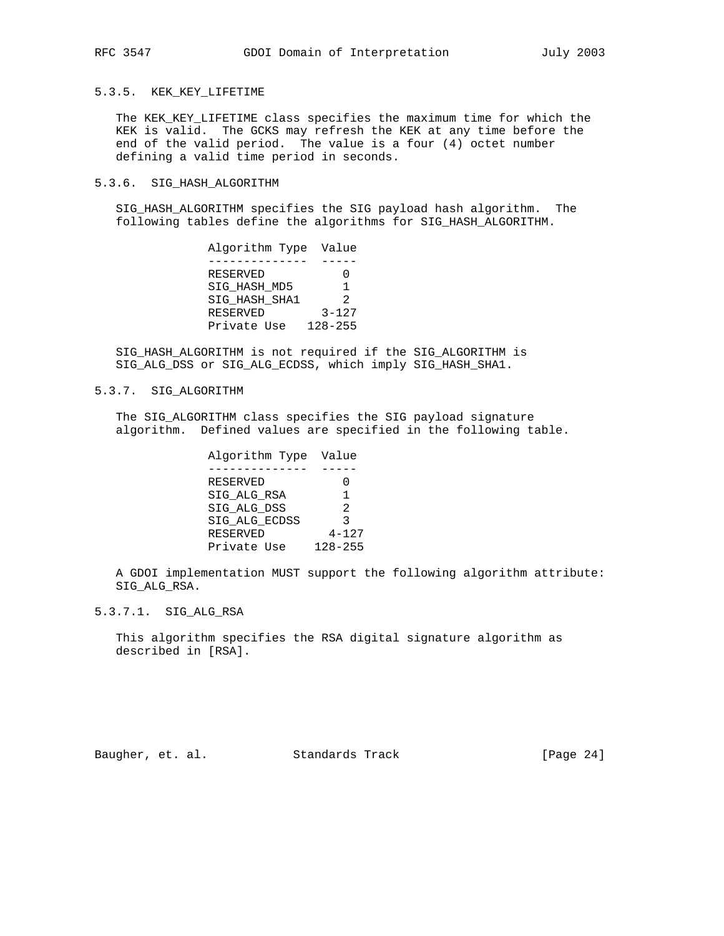## 5.3.5. KEK\_KEY\_LIFETIME

 The KEK\_KEY\_LIFETIME class specifies the maximum time for which the KEK is valid. The GCKS may refresh the KEK at any time before the end of the valid period. The value is a four (4) octet number defining a valid time period in seconds.

## 5.3.6. SIG\_HASH\_ALGORITHM

 SIG\_HASH\_ALGORITHM specifies the SIG payload hash algorithm. The following tables define the algorithms for SIG\_HASH\_ALGORITHM.

| Algorithm Type Value |               |
|----------------------|---------------|
|                      |               |
| RESERVED             |               |
| SIG HASH MD5         |               |
| SIG HASH SHA1        | $\mathcal{P}$ |
| RESERVED             | $3 - 127$     |
| Private Use          | $128 - 255$   |

 SIG\_HASH\_ALGORITHM is not required if the SIG\_ALGORITHM is SIG\_ALG\_DSS or SIG\_ALG\_ECDSS, which imply SIG\_HASH\_SHA1.

## 5.3.7. SIG\_ALGORITHM

 The SIG\_ALGORITHM class specifies the SIG payload signature algorithm. Defined values are specified in the following table.

| Algorithm Type Value |                |
|----------------------|----------------|
|                      |                |
| RESERVED             |                |
| SIG ALG RSA          | 1              |
| SIG ALG DSS          | $\mathfrak{D}$ |
| SIG ALG ECDSS        | २              |
| <b>RESERVED</b>      | $4 - 127$      |
| Private Use          | $128 - 255$    |

 A GDOI implementation MUST support the following algorithm attribute: SIG\_ALG\_RSA.

## 5.3.7.1. SIG\_ALG\_RSA

 This algorithm specifies the RSA digital signature algorithm as described in [RSA].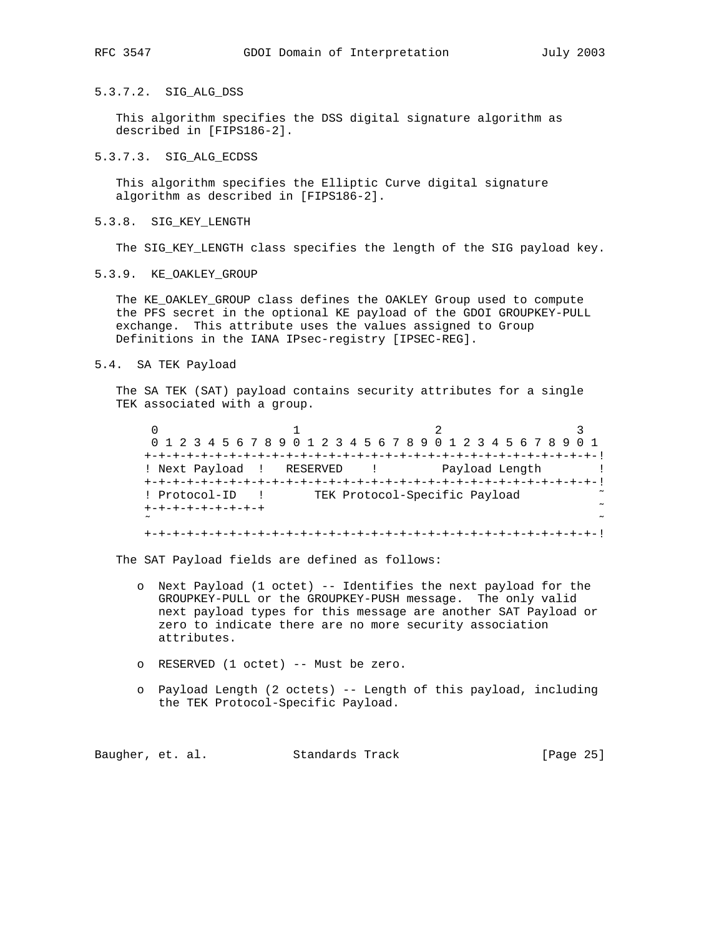# 5.3.7.2. SIG\_ALG\_DSS

 This algorithm specifies the DSS digital signature algorithm as described in [FIPS186-2].

# 5.3.7.3. SIG\_ALG\_ECDSS

 This algorithm specifies the Elliptic Curve digital signature algorithm as described in [FIPS186-2].

### 5.3.8. SIG\_KEY\_LENGTH

The SIG\_KEY\_LENGTH class specifies the length of the SIG payload key.

## 5.3.9. KE\_OAKLEY\_GROUP

 The KE\_OAKLEY\_GROUP class defines the OAKLEY Group used to compute the PFS secret in the optional KE payload of the GDOI GROUPKEY-PULL exchange. This attribute uses the values assigned to Group Definitions in the IANA IPsec-registry [IPSEC-REG].

## 5.4. SA TEK Payload

 The SA TEK (SAT) payload contains security attributes for a single TEK associated with a group.

|                           | 0 1 2 3 4 5 6 7 8 9 0 1 2 3 4 5 6 7 8 9 0 1 2 3 4 5 6 7 8 9 0 1 |                |
|---------------------------|-----------------------------------------------------------------|----------------|
|                           |                                                                 |                |
| ! Next Payload ! RESERVED |                                                                 | Payload Length |
|                           |                                                                 |                |
| ! Protocol-ID             | TEK Protocol-Specific Payload                                   |                |
| +-+-+-+-+-+-+-+-+         |                                                                 |                |
| $\sim$                    |                                                                 |                |

The SAT Payload fields are defined as follows:

- o Next Payload (1 octet) -- Identifies the next payload for the GROUPKEY-PULL or the GROUPKEY-PUSH message. The only valid next payload types for this message are another SAT Payload or zero to indicate there are no more security association attributes.
- o RESERVED (1 octet) -- Must be zero.
- o Payload Length (2 octets) -- Length of this payload, including the TEK Protocol-Specific Payload.

Baugher, et. al. Standards Track [Page 25]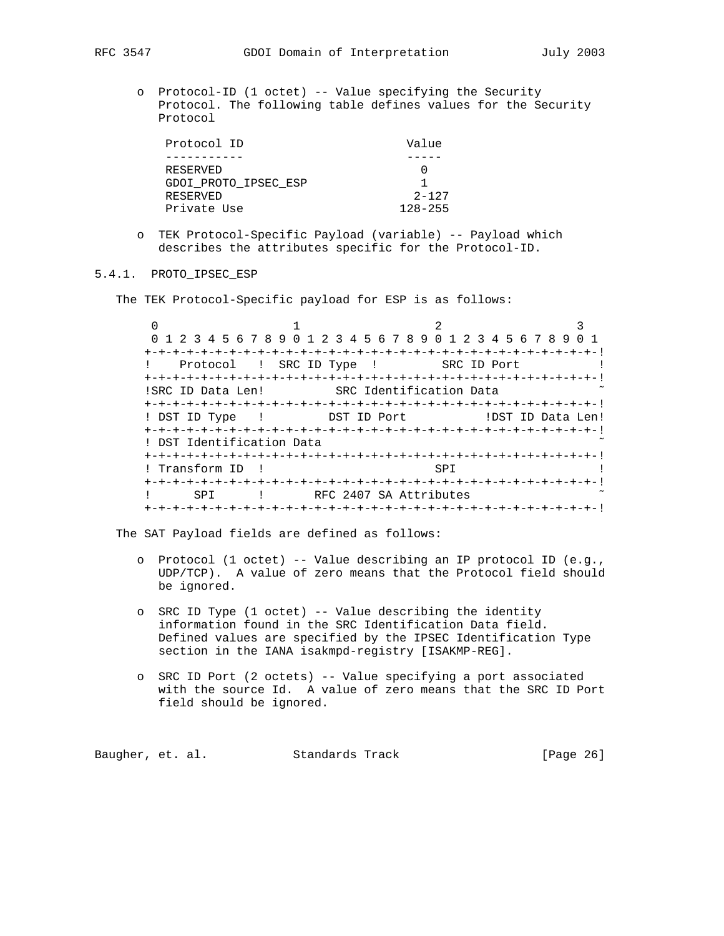o Protocol-ID (1 octet) -- Value specifying the Security Protocol. The following table defines values for the Security Protocol

| Protocol ID          | Value       |
|----------------------|-------------|
|                      |             |
| RESERVED             |             |
| GDOI PROTO IPSEC ESP |             |
| RESERVED             | $2 - 127$   |
| Private Use          | $128 - 255$ |

 o TEK Protocol-Specific Payload (variable) -- Payload which describes the attributes specific for the Protocol-ID.

## 5.4.1. PROTO\_IPSEC\_ESP

The TEK Protocol-Specific payload for ESP is as follows:

 $0$  1 2 3 0 1 2 3 4 5 6 7 8 9 0 1 2 3 4 5 6 7 8 9 0 1 2 3 4 5 6 7 8 9 0 1 +-+-+-+-+-+-+-+-+-+-+-+-+-+-+-+-+-+-+-+-+-+-+-+-+-+-+-+-+-+-+-+-! ! Protocol ! SRC ID Type ! SRC ID Port ! +-+-+-+-+-+-+-+-+-+-+-+-+-+-+-+-+-+-+-+-+-+-+-+-+-+-+-+-+-+-+-+-! !SRC ID Data Len! SRC Identification Data +-+-+-+-+-+-+-+-+-+-+-+-+-+-+-+-+-+-+-+-+-+-+-+-+-+-+-+-+-+-+-+-! ! DST ID Type ! DST ID Port ! DST ID Data Len! +-+-+-+-+-+-+-+-+-+-+-+-+-+-+-+-+-+-+-+-+-+-+-+-+-+-+-+-+-+-+-+-! ! DST Identification Data +-+-+-+-+-+-+-+-+-+-+-+-+-+-+-+-+-+-+-+-+-+-+-+-+-+-+-+-+-+-+-+-! ! Transform ID ! SPI ! +-+-+-+-+-+-+-+-+-+-+-+-+-+-+-+-+-+-+-+-+-+-+-+-+-+-+-+-+-+-+-+-! ! SPI ! RFC 2407 SA Attributes +-+-+-+-+-+-+-+-+-+-+-+-+-+-+-+-+-+-+-+-+-+-+-+-+-+-+-+-+-+-+-+-!

The SAT Payload fields are defined as follows:

- o Protocol (1 octet) -- Value describing an IP protocol ID (e.g., UDP/TCP). A value of zero means that the Protocol field should be ignored.
- o SRC ID Type (1 octet) -- Value describing the identity information found in the SRC Identification Data field. Defined values are specified by the IPSEC Identification Type section in the IANA isakmpd-registry [ISAKMP-REG].
- o SRC ID Port (2 octets) -- Value specifying a port associated with the source Id. A value of zero means that the SRC ID Port field should be ignored.

Baugher, et. al. Standards Track [Page 26]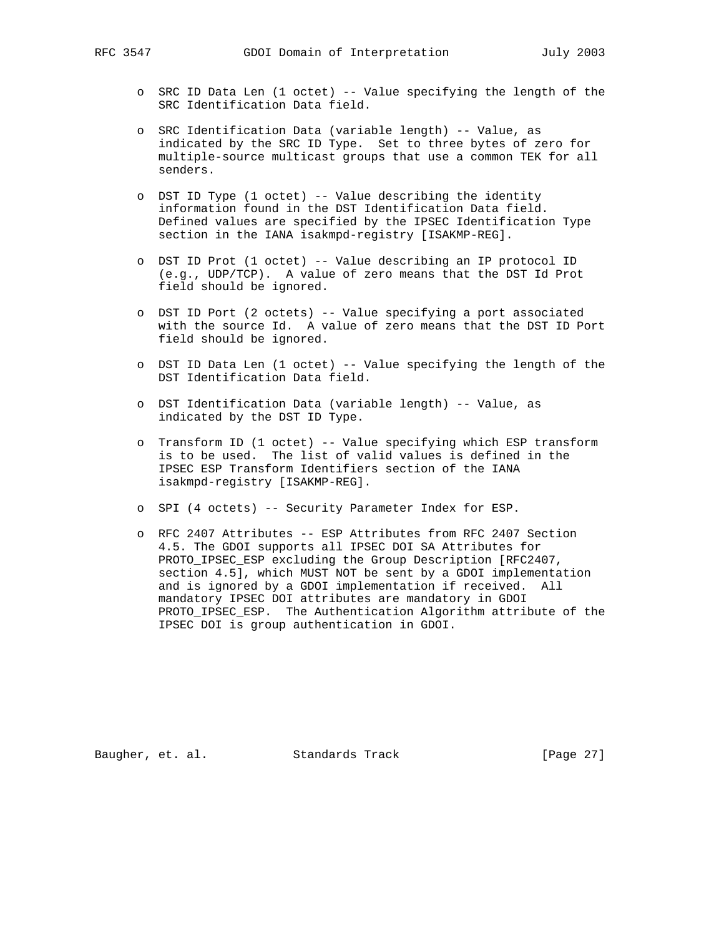- - o SRC ID Data Len (1 octet) -- Value specifying the length of the SRC Identification Data field.
	- o SRC Identification Data (variable length) -- Value, as indicated by the SRC ID Type. Set to three bytes of zero for multiple-source multicast groups that use a common TEK for all senders.
	- o DST ID Type (1 octet) -- Value describing the identity information found in the DST Identification Data field. Defined values are specified by the IPSEC Identification Type section in the IANA isakmpd-registry [ISAKMP-REG].
	- o DST ID Prot (1 octet) -- Value describing an IP protocol ID (e.g., UDP/TCP). A value of zero means that the DST Id Prot field should be ignored.
	- o DST ID Port (2 octets) -- Value specifying a port associated with the source Id. A value of zero means that the DST ID Port field should be ignored.
	- o DST ID Data Len (1 octet) -- Value specifying the length of the DST Identification Data field.
	- o DST Identification Data (variable length) -- Value, as indicated by the DST ID Type.
	- o Transform ID (1 octet) -- Value specifying which ESP transform is to be used. The list of valid values is defined in the IPSEC ESP Transform Identifiers section of the IANA isakmpd-registry [ISAKMP-REG].
	- o SPI (4 octets) -- Security Parameter Index for ESP.
	- o RFC 2407 Attributes -- ESP Attributes from RFC 2407 Section 4.5. The GDOI supports all IPSEC DOI SA Attributes for PROTO\_IPSEC\_ESP excluding the Group Description [RFC2407, section 4.5], which MUST NOT be sent by a GDOI implementation and is ignored by a GDOI implementation if received. All mandatory IPSEC DOI attributes are mandatory in GDOI PROTO\_IPSEC\_ESP. The Authentication Algorithm attribute of the IPSEC DOI is group authentication in GDOI.

Baugher, et. al. Standards Track [Page 27]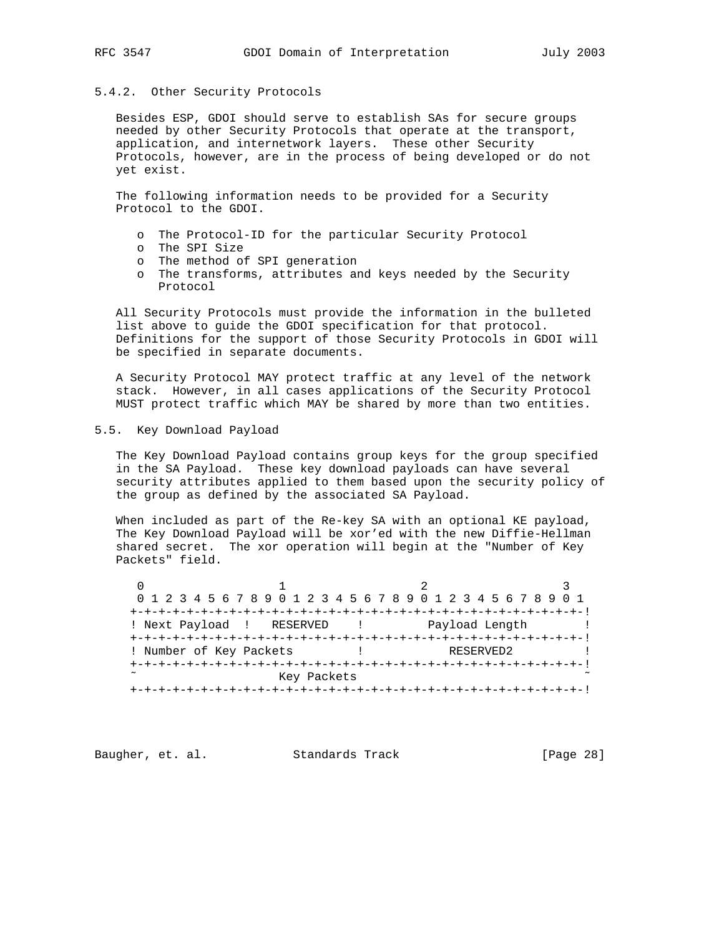# 5.4.2. Other Security Protocols

 Besides ESP, GDOI should serve to establish SAs for secure groups needed by other Security Protocols that operate at the transport, application, and internetwork layers. These other Security Protocols, however, are in the process of being developed or do not yet exist.

 The following information needs to be provided for a Security Protocol to the GDOI.

- o The Protocol-ID for the particular Security Protocol
- o The SPI Size
- o The method of SPI generation
- o The transforms, attributes and keys needed by the Security Protocol

 All Security Protocols must provide the information in the bulleted list above to guide the GDOI specification for that protocol. Definitions for the support of those Security Protocols in GDOI will be specified in separate documents.

 A Security Protocol MAY protect traffic at any level of the network stack. However, in all cases applications of the Security Protocol MUST protect traffic which MAY be shared by more than two entities.

## 5.5. Key Download Payload

 The Key Download Payload contains group keys for the group specified in the SA Payload. These key download payloads can have several security attributes applied to them based upon the security policy of the group as defined by the associated SA Payload.

 When included as part of the Re-key SA with an optional KE payload, The Key Download Payload will be xor'ed with the new Diffie-Hellman shared secret. The xor operation will begin at the "Number of Key Packets" field.

| 0 1 2 3 4 5 6 7 8 9 0 1 2 3 4 5 6 7 8 9 0 1 2 3 4 5 6 7 8 9 0 1 |             |  |                |  |
|-----------------------------------------------------------------|-------------|--|----------------|--|
|                                                                 |             |  |                |  |
| ! Next Payload ! RESERVED                                       |             |  | Payload Length |  |
|                                                                 |             |  |                |  |
| ! Number of Key Packets                                         |             |  | RESERVED2      |  |
|                                                                 |             |  |                |  |
| $\sim$                                                          | Key Packets |  |                |  |
|                                                                 |             |  |                |  |

Baugher, et. al. Standards Track [Page 28]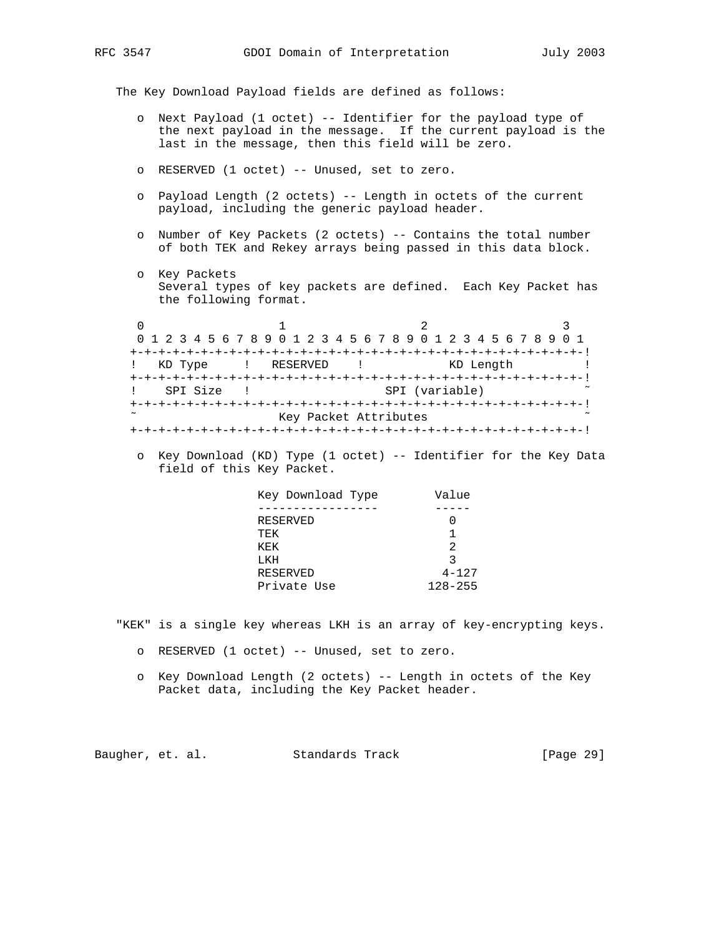The Key Download Payload fields are defined as follows:

- o Next Payload (1 octet) -- Identifier for the payload type of the next payload in the message. If the current payload is the last in the message, then this field will be zero.
- o RESERVED (1 octet) -- Unused, set to zero.
- o Payload Length (2 octets) -- Length in octets of the current payload, including the generic payload header.
- o Number of Key Packets (2 octets) -- Contains the total number of both TEK and Rekey arrays being passed in this data block.
- o Key Packets Several types of key packets are defined. Each Key Packet has the following format.

 $0$  and  $1$  and  $2$  3 0 1 2 3 4 5 6 7 8 9 0 1 2 3 4 5 6 7 8 9 0 1 2 3 4 5 6 7 8 9 0 1 +-+-+-+-+-+-+-+-+-+-+-+-+-+-+-+-+-+-+-+-+-+-+-+-+-+-+-+-+-+-+-+-! ! KD Type ! RESERVED ! KD Length ! +-+-+-+-+-+-+-+-+-+-+-+-+-+-+-+-+-+-+-+-+-+-+-+-+-+-+-+-+-+-+-+-! ! SPI Size ! SPI (variable) +-+-+-+-+-+-+-+-+-+-+-+-+-+-+-+-+-+-+-+-+-+-+-+-+-+-+-+-+-+-+-+-! Key Packet Attributes +-+-+-+-+-+-+-+-+-+-+-+-+-+-+-+-+-+-+-+-+-+-+-+-+-+-+-+-+-+-+-+-!

 o Key Download (KD) Type (1 octet) -- Identifier for the Key Data field of this Key Packet.

| Key Download Type | Value       |
|-------------------|-------------|
|                   |             |
| RESERVED          |             |
| TEK               | 1           |
| KEK               | 2           |
| LKH               | 3           |
| RESERVED          | $4 - 127$   |
| Private Use       | $128 - 255$ |

"KEK" is a single key whereas LKH is an array of key-encrypting keys.

- o RESERVED (1 octet) -- Unused, set to zero.
- o Key Download Length (2 octets) -- Length in octets of the Key Packet data, including the Key Packet header.

Baugher, et. al. Standards Track [Page 29]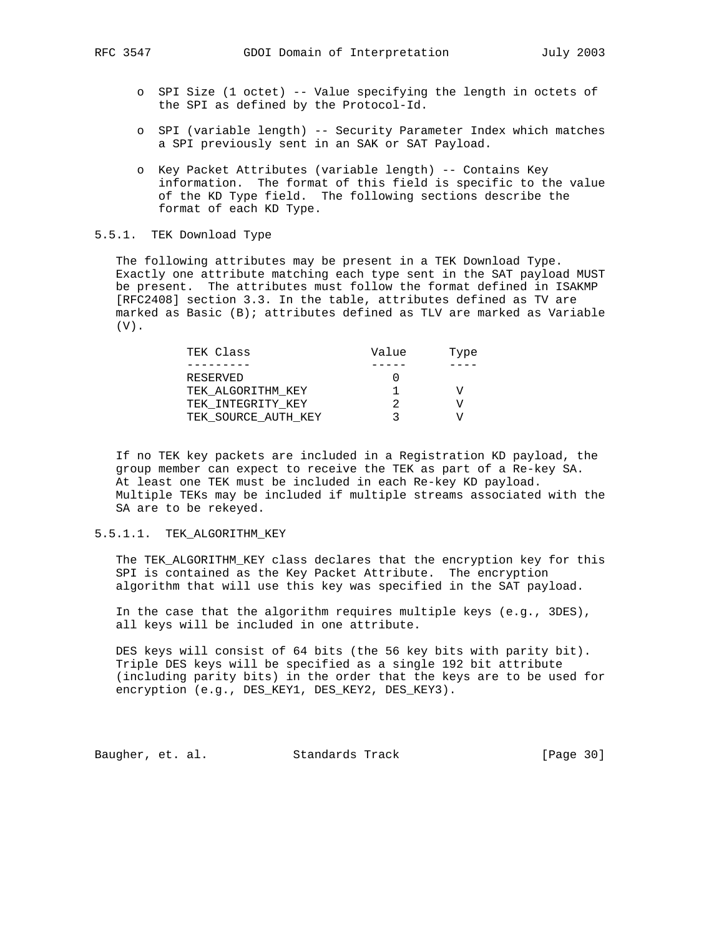- o SPI Size (1 octet) -- Value specifying the length in octets of the SPI as defined by the Protocol-Id.
- o SPI (variable length) -- Security Parameter Index which matches a SPI previously sent in an SAK or SAT Payload.
- o Key Packet Attributes (variable length) -- Contains Key information. The format of this field is specific to the value of the KD Type field. The following sections describe the format of each KD Type.

## 5.5.1. TEK Download Type

 The following attributes may be present in a TEK Download Type. Exactly one attribute matching each type sent in the SAT payload MUST be present. The attributes must follow the format defined in ISAKMP [RFC2408] section 3.3. In the table, attributes defined as TV are marked as Basic (B); attributes defined as TLV are marked as Variable (V).

| TEK Class           | Value | Type |
|---------------------|-------|------|
|                     |       |      |
| RESERVED            |       |      |
| TEK ALGORITHM KEY   |       |      |
| TEK INTEGRITY KEY   |       |      |
| TEK SOURCE AUTH KEY |       |      |

 If no TEK key packets are included in a Registration KD payload, the group member can expect to receive the TEK as part of a Re-key SA. At least one TEK must be included in each Re-key KD payload. Multiple TEKs may be included if multiple streams associated with the SA are to be rekeyed.

## 5.5.1.1. TEK\_ALGORITHM\_KEY

 The TEK\_ALGORITHM\_KEY class declares that the encryption key for this SPI is contained as the Key Packet Attribute. The encryption algorithm that will use this key was specified in the SAT payload.

 In the case that the algorithm requires multiple keys (e.g., 3DES), all keys will be included in one attribute.

 DES keys will consist of 64 bits (the 56 key bits with parity bit). Triple DES keys will be specified as a single 192 bit attribute (including parity bits) in the order that the keys are to be used for encryption (e.g., DES\_KEY1, DES\_KEY2, DES\_KEY3).

Baugher, et. al. Standards Track [Page 30]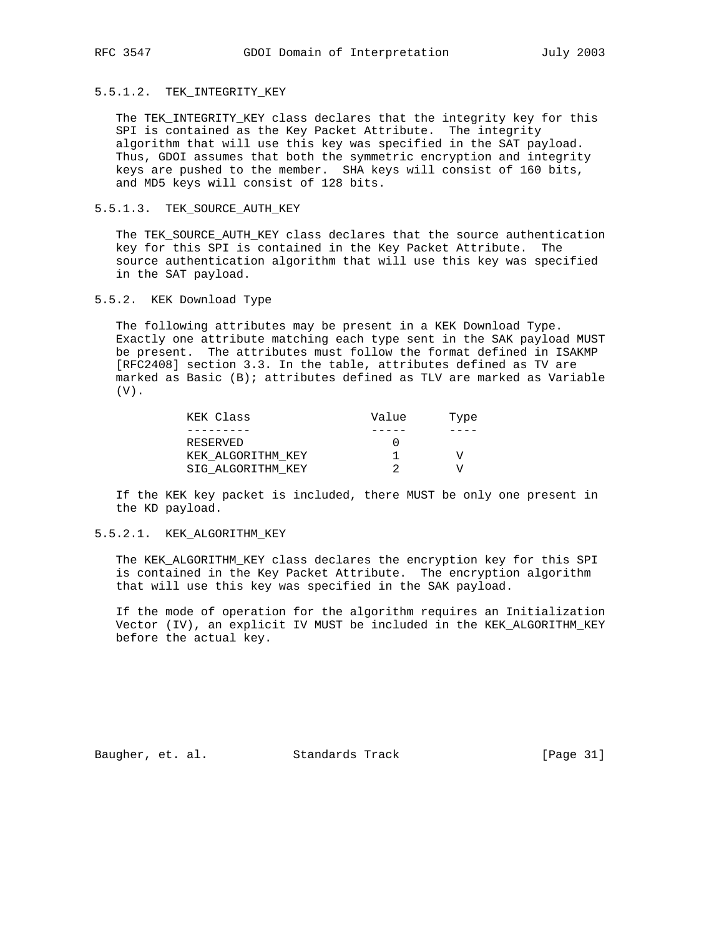5.5.1.2. TEK\_INTEGRITY\_KEY

 The TEK\_INTEGRITY\_KEY class declares that the integrity key for this SPI is contained as the Key Packet Attribute. The integrity algorithm that will use this key was specified in the SAT payload. Thus, GDOI assumes that both the symmetric encryption and integrity keys are pushed to the member. SHA keys will consist of 160 bits, and MD5 keys will consist of 128 bits.

## 5.5.1.3. TEK\_SOURCE\_AUTH\_KEY

 The TEK\_SOURCE\_AUTH\_KEY class declares that the source authentication key for this SPI is contained in the Key Packet Attribute. The source authentication algorithm that will use this key was specified in the SAT payload.

5.5.2. KEK Download Type

 The following attributes may be present in a KEK Download Type. Exactly one attribute matching each type sent in the SAK payload MUST be present. The attributes must follow the format defined in ISAKMP [RFC2408] section 3.3. In the table, attributes defined as TV are marked as Basic (B); attributes defined as TLV are marked as Variable  $(V)$ .

| KEK Class         | Value | Type |
|-------------------|-------|------|
|                   |       |      |
| RESERVED          |       |      |
| KEK ALGORITHM KEY |       |      |
| SIG ALGORITHM KEY |       |      |

 If the KEK key packet is included, there MUST be only one present in the KD payload.

## 5.5.2.1. KEK\_ALGORITHM\_KEY

 The KEK\_ALGORITHM\_KEY class declares the encryption key for this SPI is contained in the Key Packet Attribute. The encryption algorithm that will use this key was specified in the SAK payload.

 If the mode of operation for the algorithm requires an Initialization Vector (IV), an explicit IV MUST be included in the KEK\_ALGORITHM\_KEY before the actual key.

Baugher, et. al. Standards Track [Page 31]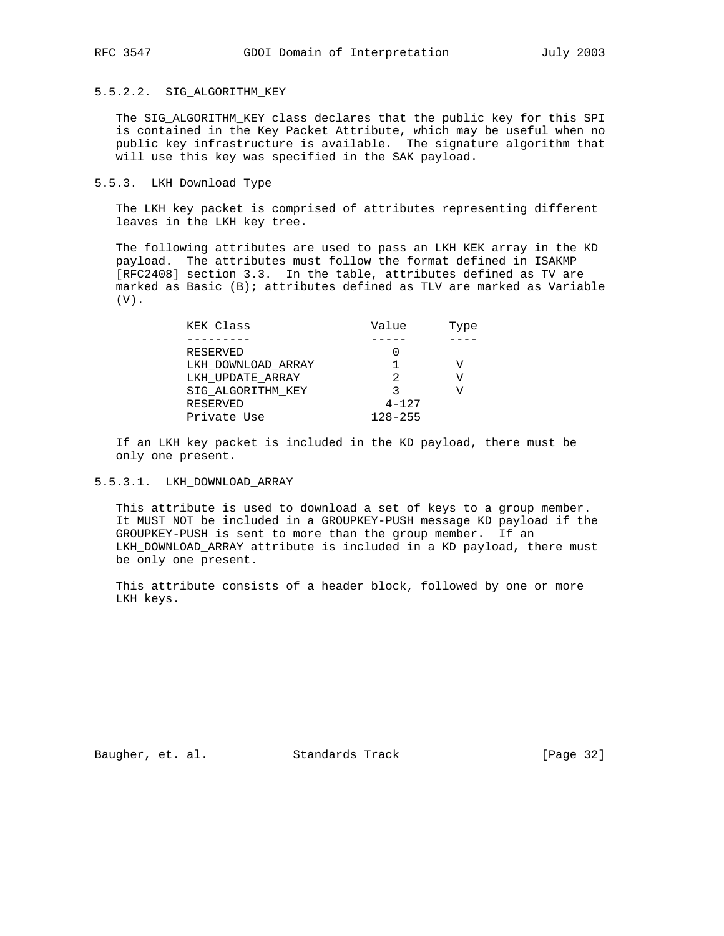## 5.5.2.2. SIG\_ALGORITHM\_KEY

 The SIG\_ALGORITHM\_KEY class declares that the public key for this SPI is contained in the Key Packet Attribute, which may be useful when no public key infrastructure is available. The signature algorithm that will use this key was specified in the SAK payload.

## 5.5.3. LKH Download Type

 The LKH key packet is comprised of attributes representing different leaves in the LKH key tree.

 The following attributes are used to pass an LKH KEK array in the KD payload. The attributes must follow the format defined in ISAKMP [RFC2408] section 3.3. In the table, attributes defined as TV are marked as Basic (B); attributes defined as TLV are marked as Variable  $(V)$ .

| KEK Class          | Value       | Type |
|--------------------|-------------|------|
|                    |             |      |
| RESERVED           |             |      |
| LKH DOWNLOAD ARRAY |             |      |
| LKH UPDATE ARRAY   | 2           | V    |
| SIG ALGORITHM KEY  |             |      |
| RESERVED           | $4 - 127$   |      |
| Private Use        | $128 - 255$ |      |

 If an LKH key packet is included in the KD payload, there must be only one present.

## 5.5.3.1. LKH\_DOWNLOAD\_ARRAY

 This attribute is used to download a set of keys to a group member. It MUST NOT be included in a GROUPKEY-PUSH message KD payload if the GROUPKEY-PUSH is sent to more than the group member. If an LKH\_DOWNLOAD\_ARRAY attribute is included in a KD payload, there must be only one present.

 This attribute consists of a header block, followed by one or more LKH keys.

Baugher, et. al. Standards Track [Page 32]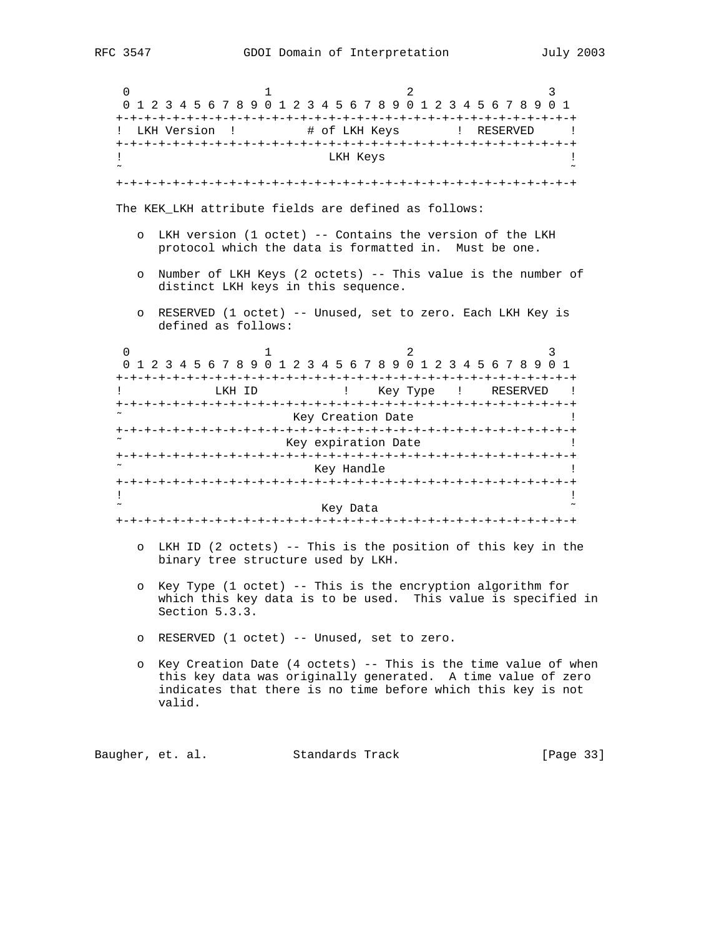| 0                          | 3<br>2<br>ı<br>0 1 2 3 4 5 6 7 8 9 0 1 2 3 4 5 6 7 8 9 0 1 2 3 4 5 6 7 8 9 0 1                                                                                                                           |
|----------------------------|----------------------------------------------------------------------------------------------------------------------------------------------------------------------------------------------------------|
|                            | LKH Version !<br># of LKH Keys ( ) RESERVED (                                                                                                                                                            |
| T<br>$\tilde{\phantom{a}}$ | LKH Keys                                                                                                                                                                                                 |
|                            |                                                                                                                                                                                                          |
|                            | The KEK LKH attribute fields are defined as follows:                                                                                                                                                     |
| $\circ$                    | LKH version (1 octet) -- Contains the version of the LKH<br>protocol which the data is formatted in. Must be one.                                                                                        |
| $\circ$                    | Number of LKH Keys (2 octets) -- This value is the number of<br>distinct LKH keys in this sequence.                                                                                                      |
| $\circ$                    | RESERVED (1 octet) -- Unused, set to zero. Each LKH Key is<br>defined as follows:                                                                                                                        |
| 0                          | 2<br>1<br>3<br>0 1 2 3 4 5 6 7 8 9 0 1 2 3 4 5 6 7 8 9 0 1 2 3 4 5 6 7 8 9 0 1                                                                                                                           |
| Ţ                          | LKH ID<br>Key Type ! RESERVED !<br>$\mathbf{I}$                                                                                                                                                          |
|                            | Key Creation Date                                                                                                                                                                                        |
|                            | Key expiration Date                                                                                                                                                                                      |
|                            | Key Handle<br>L                                                                                                                                                                                          |
| Ţ                          | Ţ                                                                                                                                                                                                        |
|                            | Key Data                                                                                                                                                                                                 |
|                            |                                                                                                                                                                                                          |
| $\circ$                    | LKH ID (2 octets) -- This is the position of this key in the<br>binary tree structure used by LKH.                                                                                                       |
| $\circ$                    | Key Type (1 octet) -- This is the encryption algorithm for<br>which this key data is to be used. This value is specified in<br>Section 5.3.3.                                                            |
| $\circ$                    | RESERVED (1 octet) -- Unused, set to zero.                                                                                                                                                               |
| $\circ$                    | Key Creation Date (4 octets) -- This is the time value of when<br>this key data was originally generated. A time value of zero<br>indicates that there is no time before which this key is not<br>valid. |
|                            |                                                                                                                                                                                                          |

Baugher, et. al. Standards Track [Page 33]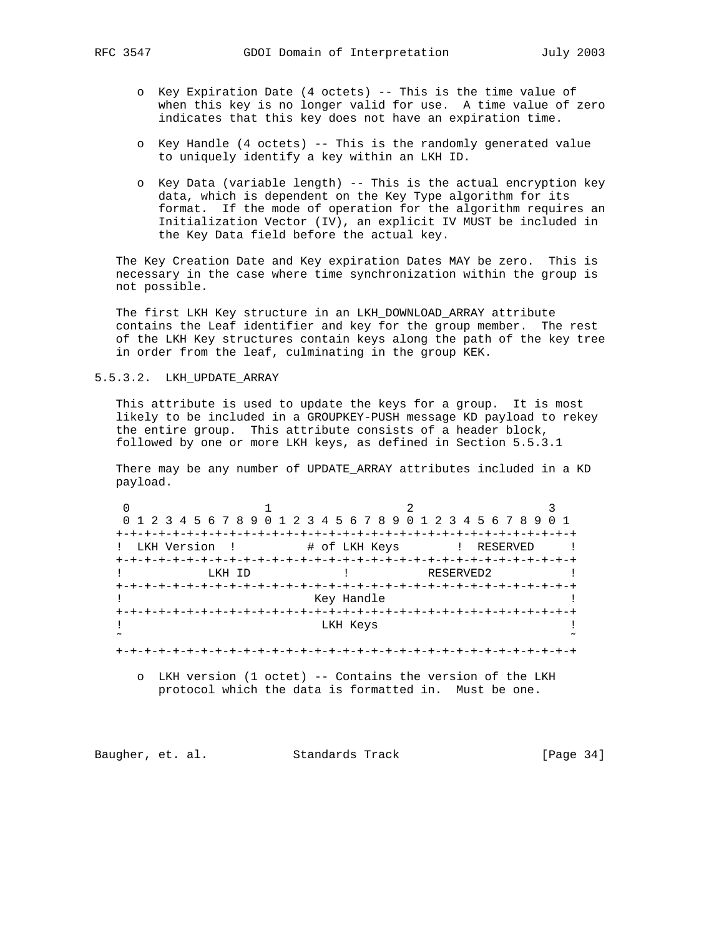- o Key Expiration Date (4 octets) -- This is the time value of when this key is no longer valid for use. A time value of zero indicates that this key does not have an expiration time.
- o Key Handle (4 octets) -- This is the randomly generated value to uniquely identify a key within an LKH ID.
- o Key Data (variable length) -- This is the actual encryption key data, which is dependent on the Key Type algorithm for its format. If the mode of operation for the algorithm requires an Initialization Vector (IV), an explicit IV MUST be included in the Key Data field before the actual key.

 The Key Creation Date and Key expiration Dates MAY be zero. This is necessary in the case where time synchronization within the group is not possible.

 The first LKH Key structure in an LKH\_DOWNLOAD\_ARRAY attribute contains the Leaf identifier and key for the group member. The rest of the LKH Key structures contain keys along the path of the key tree in order from the leaf, culminating in the group KEK.

# 5.5.3.2. LKH\_UPDATE\_ARRAY

 This attribute is used to update the keys for a group. It is most likely to be included in a GROUPKEY-PUSH message KD payload to rekey the entire group. This attribute consists of a header block, followed by one or more LKH keys, as defined in Section 5.5.3.1

 There may be any number of UPDATE\_ARRAY attributes included in a KD payload.

|             |                                   | 0 1 2 3 4 5 6 7 8 9 0 1 2 3 4 5 6 7 8 9 0 1 2 3 4 5 6 7 8 9 0 1 |
|-------------|-----------------------------------|-----------------------------------------------------------------|
|             |                                   |                                                                 |
| LKH Version | # of LKH Keys                     | ! RESERVED                                                      |
|             |                                   |                                                                 |
| LKH ID      |                                   | RESERVED2                                                       |
|             |                                   |                                                                 |
|             | Key Handle                        |                                                                 |
|             | +-+-+-+-+-+-+-+-+-+-+-+-+-+-+-+-+ |                                                                 |
|             | LKH Keys                          |                                                                 |
|             |                                   |                                                                 |
|             |                                   |                                                                 |

 o LKH version (1 octet) -- Contains the version of the LKH protocol which the data is formatted in. Must be one.

Baugher, et. al. Standards Track [Page 34]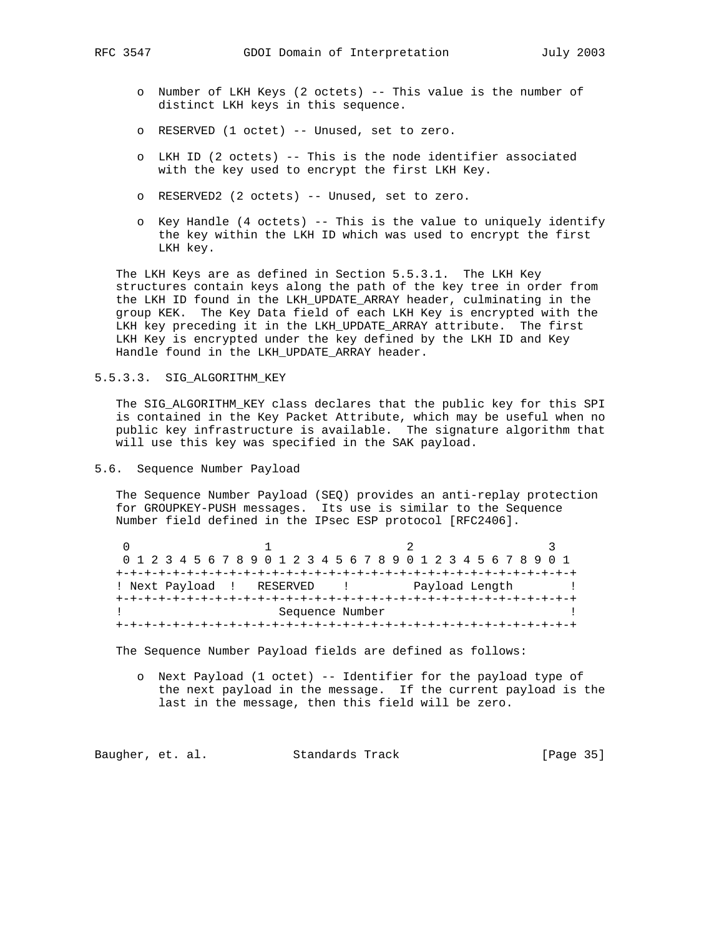- o Number of LKH Keys (2 octets) -- This value is the number of distinct LKH keys in this sequence.
- o RESERVED (1 octet) -- Unused, set to zero.
- o LKH ID (2 octets) -- This is the node identifier associated with the key used to encrypt the first LKH Key.
- o RESERVED2 (2 octets) -- Unused, set to zero.
- o Key Handle (4 octets) -- This is the value to uniquely identify the key within the LKH ID which was used to encrypt the first LKH key.

 The LKH Keys are as defined in Section 5.5.3.1. The LKH Key structures contain keys along the path of the key tree in order from the LKH ID found in the LKH\_UPDATE\_ARRAY header, culminating in the group KEK. The Key Data field of each LKH Key is encrypted with the LKH key preceding it in the LKH\_UPDATE\_ARRAY attribute. The first LKH Key is encrypted under the key defined by the LKH ID and Key Handle found in the LKH\_UPDATE\_ARRAY header.

# 5.5.3.3. SIG\_ALGORITHM\_KEY

 The SIG\_ALGORITHM\_KEY class declares that the public key for this SPI is contained in the Key Packet Attribute, which may be useful when no public key infrastructure is available. The signature algorithm that will use this key was specified in the SAK payload.

# 5.6. Sequence Number Payload

 The Sequence Number Payload (SEQ) provides an anti-replay protection for GROUPKEY-PUSH messages. Its use is similar to the Sequence Number field defined in the IPsec ESP protocol [RFC2406].

|  | 0 1 2 3 4 5 6 7 8 9 0 1 2 3 4 5 6 7 8 9 0 1 2 3 4 5 6 7 8 9 0 1 |                           |  |  |  |  |  |  |  |  |  |  |  |  |  |  |  |  |  |                |  |  |  |  |  |  |  |  |  |  |  |
|--|-----------------------------------------------------------------|---------------------------|--|--|--|--|--|--|--|--|--|--|--|--|--|--|--|--|--|----------------|--|--|--|--|--|--|--|--|--|--|--|
|  |                                                                 |                           |  |  |  |  |  |  |  |  |  |  |  |  |  |  |  |  |  |                |  |  |  |  |  |  |  |  |  |  |  |
|  |                                                                 | ! Next Payload ! RESERVED |  |  |  |  |  |  |  |  |  |  |  |  |  |  |  |  |  | Payload Length |  |  |  |  |  |  |  |  |  |  |  |
|  |                                                                 |                           |  |  |  |  |  |  |  |  |  |  |  |  |  |  |  |  |  |                |  |  |  |  |  |  |  |  |  |  |  |
|  |                                                                 | Sequence Number           |  |  |  |  |  |  |  |  |  |  |  |  |  |  |  |  |  |                |  |  |  |  |  |  |  |  |  |  |  |
|  | .+-+-+-+-+-+-+-+-+-+-+-                                         |                           |  |  |  |  |  |  |  |  |  |  |  |  |  |  |  |  |  |                |  |  |  |  |  |  |  |  |  |  |  |

The Sequence Number Payload fields are defined as follows:

 o Next Payload (1 octet) -- Identifier for the payload type of the next payload in the message. If the current payload is the last in the message, then this field will be zero.

Baugher, et. al. Standards Track [Page 35]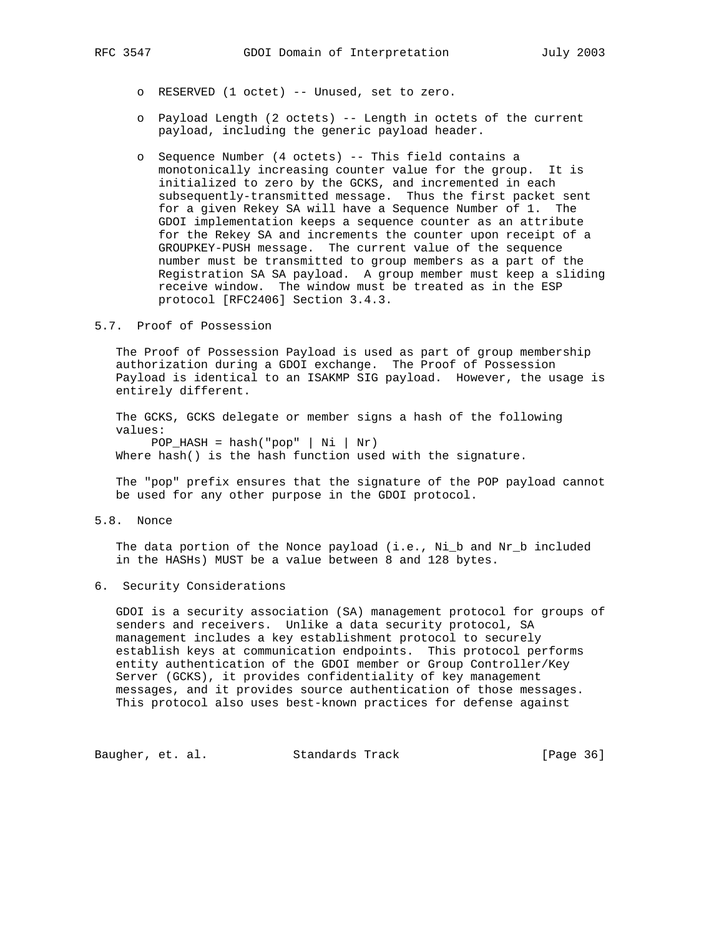- o RESERVED (1 octet) -- Unused, set to zero.
- o Payload Length (2 octets) -- Length in octets of the current payload, including the generic payload header.
- o Sequence Number (4 octets) -- This field contains a monotonically increasing counter value for the group. It is initialized to zero by the GCKS, and incremented in each subsequently-transmitted message. Thus the first packet sent for a given Rekey SA will have a Sequence Number of 1. The GDOI implementation keeps a sequence counter as an attribute for the Rekey SA and increments the counter upon receipt of a GROUPKEY-PUSH message. The current value of the sequence number must be transmitted to group members as a part of the Registration SA SA payload. A group member must keep a sliding receive window. The window must be treated as in the ESP protocol [RFC2406] Section 3.4.3.
- 5.7. Proof of Possession

 The Proof of Possession Payload is used as part of group membership authorization during a GDOI exchange. The Proof of Possession Payload is identical to an ISAKMP SIG payload. However, the usage is entirely different.

 The GCKS, GCKS delegate or member signs a hash of the following values:  $POP\_HASH = hash("pop" | Ni | Nr)$ 

Where hash() is the hash function used with the signature.

 The "pop" prefix ensures that the signature of the POP payload cannot be used for any other purpose in the GDOI protocol.

5.8. Nonce

The data portion of the Nonce payload (i.e., Ni\_b and Nr\_b included in the HASHs) MUST be a value between 8 and 128 bytes.

6. Security Considerations

 GDOI is a security association (SA) management protocol for groups of senders and receivers. Unlike a data security protocol, SA management includes a key establishment protocol to securely establish keys at communication endpoints. This protocol performs entity authentication of the GDOI member or Group Controller/Key Server (GCKS), it provides confidentiality of key management messages, and it provides source authentication of those messages. This protocol also uses best-known practices for defense against

Baugher, et. al. Standards Track [Page 36]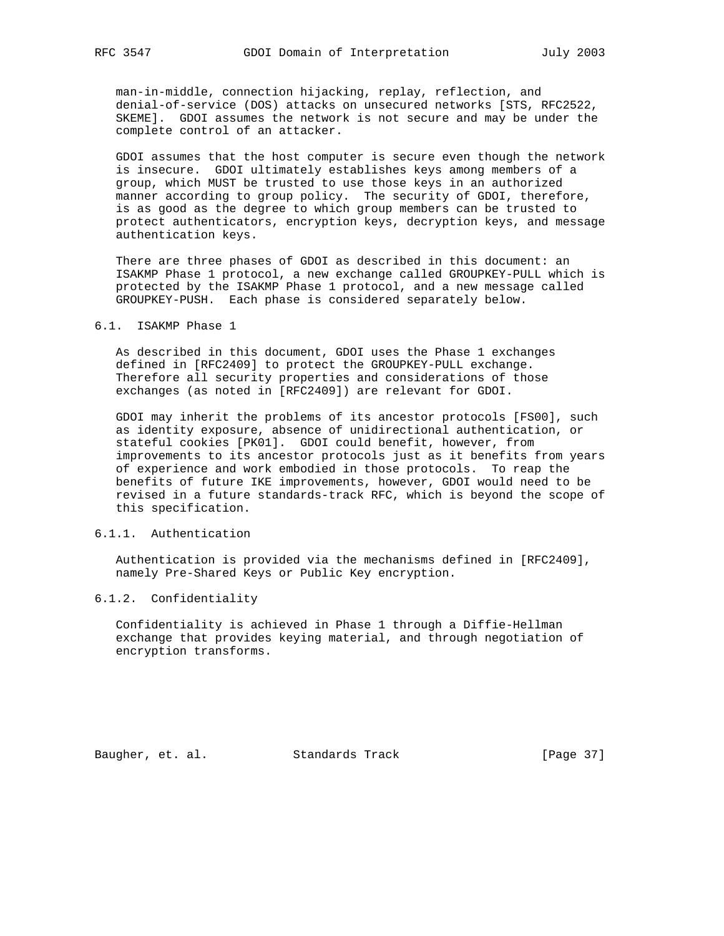man-in-middle, connection hijacking, replay, reflection, and denial-of-service (DOS) attacks on unsecured networks [STS, RFC2522, SKEME]. GDOI assumes the network is not secure and may be under the complete control of an attacker.

 GDOI assumes that the host computer is secure even though the network is insecure. GDOI ultimately establishes keys among members of a group, which MUST be trusted to use those keys in an authorized manner according to group policy. The security of GDOI, therefore, is as good as the degree to which group members can be trusted to protect authenticators, encryption keys, decryption keys, and message authentication keys.

 There are three phases of GDOI as described in this document: an ISAKMP Phase 1 protocol, a new exchange called GROUPKEY-PULL which is protected by the ISAKMP Phase 1 protocol, and a new message called GROUPKEY-PUSH. Each phase is considered separately below.

## 6.1. ISAKMP Phase 1

 As described in this document, GDOI uses the Phase 1 exchanges defined in [RFC2409] to protect the GROUPKEY-PULL exchange. Therefore all security properties and considerations of those exchanges (as noted in [RFC2409]) are relevant for GDOI.

 GDOI may inherit the problems of its ancestor protocols [FS00], such as identity exposure, absence of unidirectional authentication, or stateful cookies [PK01]. GDOI could benefit, however, from improvements to its ancestor protocols just as it benefits from years of experience and work embodied in those protocols. To reap the benefits of future IKE improvements, however, GDOI would need to be revised in a future standards-track RFC, which is beyond the scope of this specification.

## 6.1.1. Authentication

 Authentication is provided via the mechanisms defined in [RFC2409], namely Pre-Shared Keys or Public Key encryption.

### 6.1.2. Confidentiality

 Confidentiality is achieved in Phase 1 through a Diffie-Hellman exchange that provides keying material, and through negotiation of encryption transforms.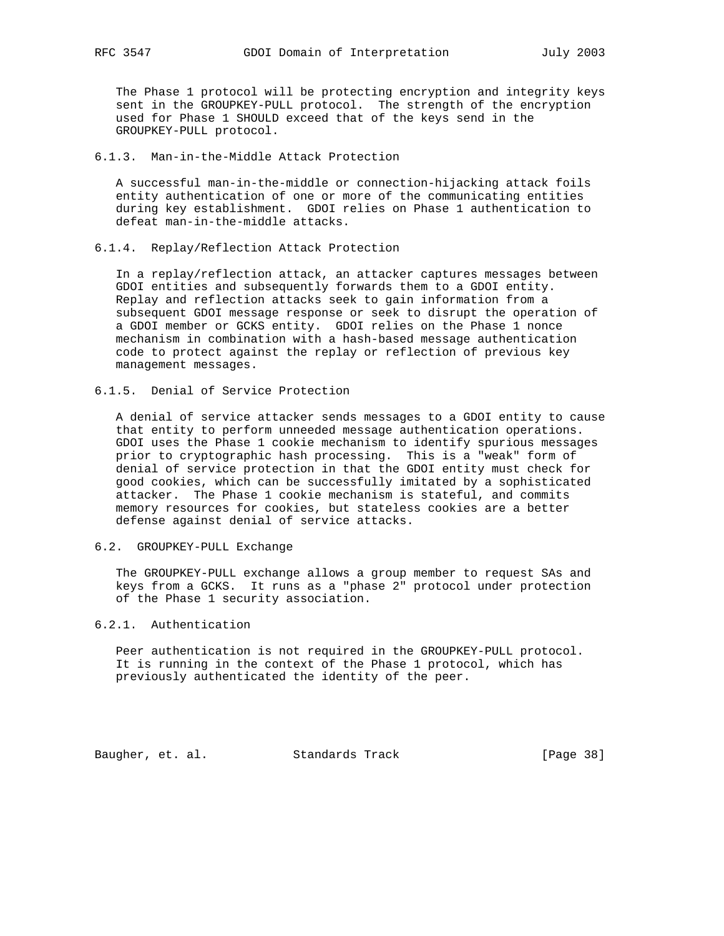The Phase 1 protocol will be protecting encryption and integrity keys sent in the GROUPKEY-PULL protocol. The strength of the encryption used for Phase 1 SHOULD exceed that of the keys send in the GROUPKEY-PULL protocol.

### 6.1.3. Man-in-the-Middle Attack Protection

 A successful man-in-the-middle or connection-hijacking attack foils entity authentication of one or more of the communicating entities during key establishment. GDOI relies on Phase 1 authentication to defeat man-in-the-middle attacks.

## 6.1.4. Replay/Reflection Attack Protection

 In a replay/reflection attack, an attacker captures messages between GDOI entities and subsequently forwards them to a GDOI entity. Replay and reflection attacks seek to gain information from a subsequent GDOI message response or seek to disrupt the operation of a GDOI member or GCKS entity. GDOI relies on the Phase 1 nonce mechanism in combination with a hash-based message authentication code to protect against the replay or reflection of previous key management messages.

## 6.1.5. Denial of Service Protection

 A denial of service attacker sends messages to a GDOI entity to cause that entity to perform unneeded message authentication operations. GDOI uses the Phase 1 cookie mechanism to identify spurious messages prior to cryptographic hash processing. This is a "weak" form of denial of service protection in that the GDOI entity must check for good cookies, which can be successfully imitated by a sophisticated attacker. The Phase 1 cookie mechanism is stateful, and commits memory resources for cookies, but stateless cookies are a better defense against denial of service attacks.

# 6.2. GROUPKEY-PULL Exchange

 The GROUPKEY-PULL exchange allows a group member to request SAs and keys from a GCKS. It runs as a "phase 2" protocol under protection of the Phase 1 security association.

## 6.2.1. Authentication

 Peer authentication is not required in the GROUPKEY-PULL protocol. It is running in the context of the Phase 1 protocol, which has previously authenticated the identity of the peer.

Baugher, et. al. Standards Track [Page 38]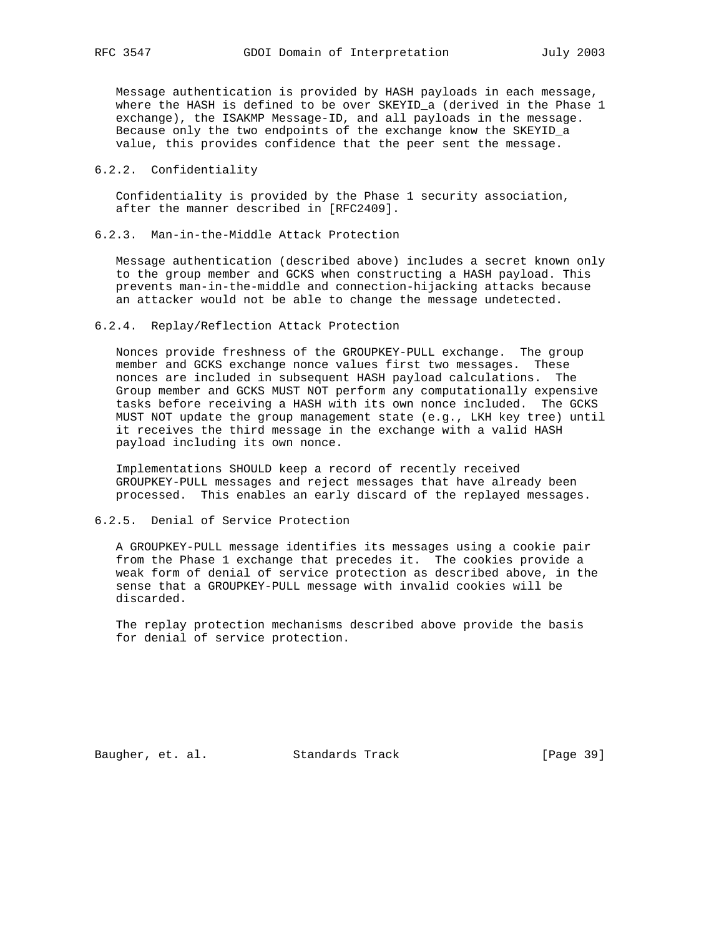Message authentication is provided by HASH payloads in each message, where the HASH is defined to be over SKEYID\_a (derived in the Phase 1 exchange), the ISAKMP Message-ID, and all payloads in the message. Because only the two endpoints of the exchange know the SKEYID\_a value, this provides confidence that the peer sent the message.

## 6.2.2. Confidentiality

 Confidentiality is provided by the Phase 1 security association, after the manner described in [RFC2409].

6.2.3. Man-in-the-Middle Attack Protection

 Message authentication (described above) includes a secret known only to the group member and GCKS when constructing a HASH payload. This prevents man-in-the-middle and connection-hijacking attacks because an attacker would not be able to change the message undetected.

## 6.2.4. Replay/Reflection Attack Protection

 Nonces provide freshness of the GROUPKEY-PULL exchange. The group member and GCKS exchange nonce values first two messages. These nonces are included in subsequent HASH payload calculations. The Group member and GCKS MUST NOT perform any computationally expensive tasks before receiving a HASH with its own nonce included. The GCKS MUST NOT update the group management state (e.g., LKH key tree) until it receives the third message in the exchange with a valid HASH payload including its own nonce.

 Implementations SHOULD keep a record of recently received GROUPKEY-PULL messages and reject messages that have already been processed. This enables an early discard of the replayed messages.

## 6.2.5. Denial of Service Protection

 A GROUPKEY-PULL message identifies its messages using a cookie pair from the Phase 1 exchange that precedes it. The cookies provide a weak form of denial of service protection as described above, in the sense that a GROUPKEY-PULL message with invalid cookies will be discarded.

 The replay protection mechanisms described above provide the basis for denial of service protection.

Baugher, et. al. Standards Track [Page 39]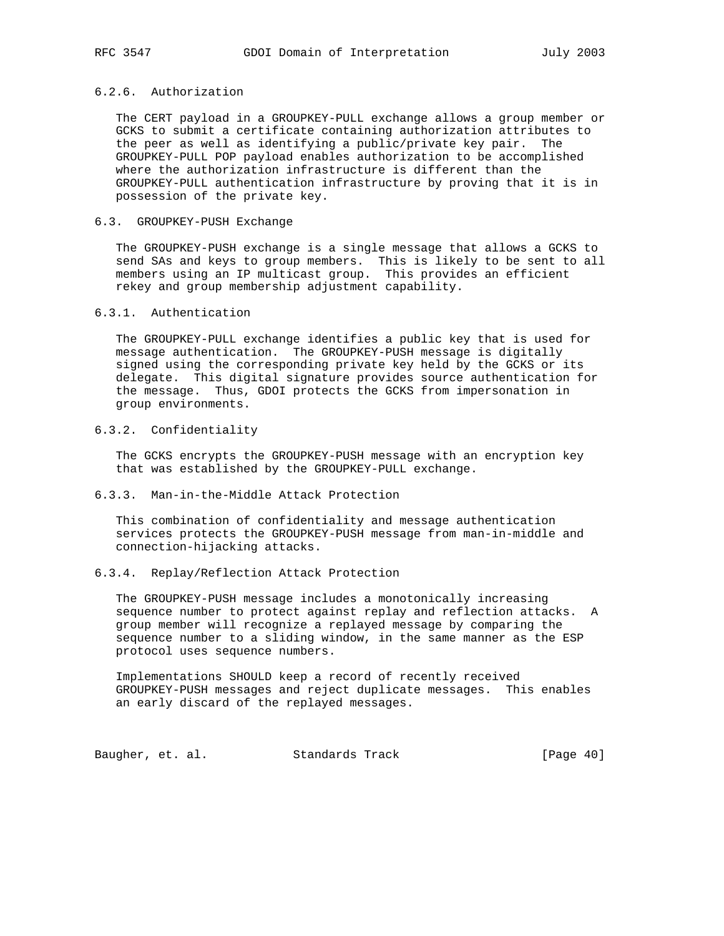# 6.2.6. Authorization

 The CERT payload in a GROUPKEY-PULL exchange allows a group member or GCKS to submit a certificate containing authorization attributes to the peer as well as identifying a public/private key pair. The GROUPKEY-PULL POP payload enables authorization to be accomplished where the authorization infrastructure is different than the GROUPKEY-PULL authentication infrastructure by proving that it is in possession of the private key.

# 6.3. GROUPKEY-PUSH Exchange

 The GROUPKEY-PUSH exchange is a single message that allows a GCKS to send SAs and keys to group members. This is likely to be sent to all members using an IP multicast group. This provides an efficient rekey and group membership adjustment capability.

## 6.3.1. Authentication

 The GROUPKEY-PULL exchange identifies a public key that is used for message authentication. The GROUPKEY-PUSH message is digitally signed using the corresponding private key held by the GCKS or its delegate. This digital signature provides source authentication for the message. Thus, GDOI protects the GCKS from impersonation in group environments.

## 6.3.2. Confidentiality

 The GCKS encrypts the GROUPKEY-PUSH message with an encryption key that was established by the GROUPKEY-PULL exchange.

## 6.3.3. Man-in-the-Middle Attack Protection

 This combination of confidentiality and message authentication services protects the GROUPKEY-PUSH message from man-in-middle and connection-hijacking attacks.

# 6.3.4. Replay/Reflection Attack Protection

 The GROUPKEY-PUSH message includes a monotonically increasing sequence number to protect against replay and reflection attacks. A group member will recognize a replayed message by comparing the sequence number to a sliding window, in the same manner as the ESP protocol uses sequence numbers.

 Implementations SHOULD keep a record of recently received GROUPKEY-PUSH messages and reject duplicate messages. This enables an early discard of the replayed messages.

Baugher, et. al. Standards Track [Page 40]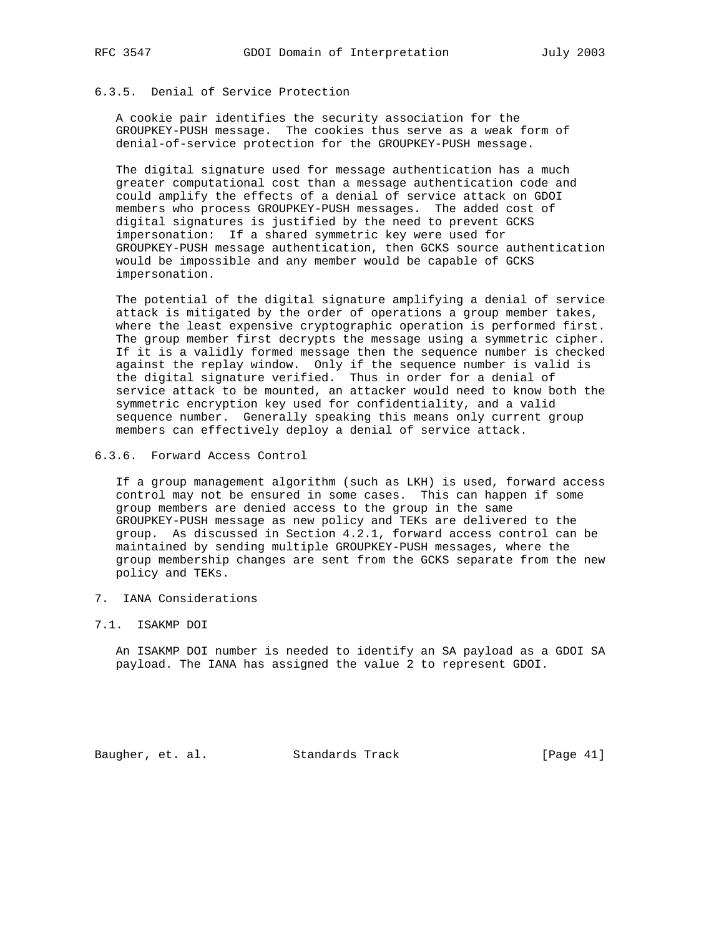## 6.3.5. Denial of Service Protection

 A cookie pair identifies the security association for the GROUPKEY-PUSH message. The cookies thus serve as a weak form of denial-of-service protection for the GROUPKEY-PUSH message.

 The digital signature used for message authentication has a much greater computational cost than a message authentication code and could amplify the effects of a denial of service attack on GDOI members who process GROUPKEY-PUSH messages. The added cost of digital signatures is justified by the need to prevent GCKS impersonation: If a shared symmetric key were used for GROUPKEY-PUSH message authentication, then GCKS source authentication would be impossible and any member would be capable of GCKS impersonation.

 The potential of the digital signature amplifying a denial of service attack is mitigated by the order of operations a group member takes, where the least expensive cryptographic operation is performed first. The group member first decrypts the message using a symmetric cipher. If it is a validly formed message then the sequence number is checked against the replay window. Only if the sequence number is valid is the digital signature verified. Thus in order for a denial of service attack to be mounted, an attacker would need to know both the symmetric encryption key used for confidentiality, and a valid sequence number. Generally speaking this means only current group members can effectively deploy a denial of service attack.

6.3.6. Forward Access Control

 If a group management algorithm (such as LKH) is used, forward access control may not be ensured in some cases. This can happen if some group members are denied access to the group in the same GROUPKEY-PUSH message as new policy and TEKs are delivered to the group. As discussed in Section 4.2.1, forward access control can be maintained by sending multiple GROUPKEY-PUSH messages, where the group membership changes are sent from the GCKS separate from the new policy and TEKs.

- 7. IANA Considerations
- 7.1. ISAKMP DOI

 An ISAKMP DOI number is needed to identify an SA payload as a GDOI SA payload. The IANA has assigned the value 2 to represent GDOI.

Baugher, et. al. Standards Track [Page 41]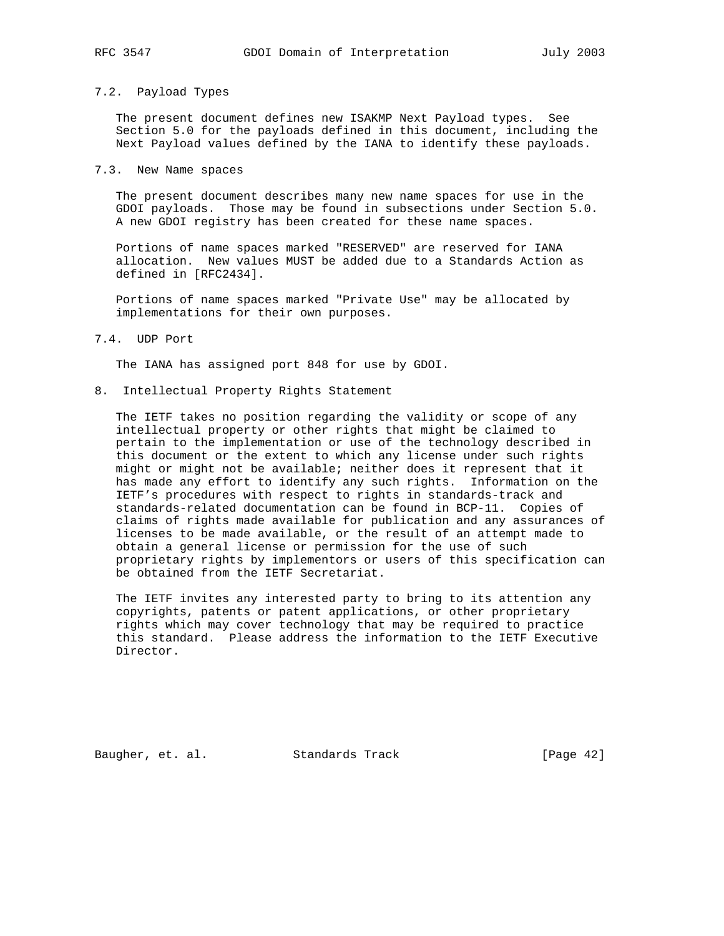### 7.2. Payload Types

 The present document defines new ISAKMP Next Payload types. See Section 5.0 for the payloads defined in this document, including the Next Payload values defined by the IANA to identify these payloads.

7.3. New Name spaces

 The present document describes many new name spaces for use in the GDOI payloads. Those may be found in subsections under Section 5.0. A new GDOI registry has been created for these name spaces.

 Portions of name spaces marked "RESERVED" are reserved for IANA allocation. New values MUST be added due to a Standards Action as defined in [RFC2434].

 Portions of name spaces marked "Private Use" may be allocated by implementations for their own purposes.

7.4. UDP Port

The IANA has assigned port 848 for use by GDOI.

8. Intellectual Property Rights Statement

 The IETF takes no position regarding the validity or scope of any intellectual property or other rights that might be claimed to pertain to the implementation or use of the technology described in this document or the extent to which any license under such rights might or might not be available; neither does it represent that it has made any effort to identify any such rights. Information on the IETF's procedures with respect to rights in standards-track and standards-related documentation can be found in BCP-11. Copies of claims of rights made available for publication and any assurances of licenses to be made available, or the result of an attempt made to obtain a general license or permission for the use of such proprietary rights by implementors or users of this specification can be obtained from the IETF Secretariat.

 The IETF invites any interested party to bring to its attention any copyrights, patents or patent applications, or other proprietary rights which may cover technology that may be required to practice this standard. Please address the information to the IETF Executive Director.

Baugher, et. al. Standards Track [Page 42]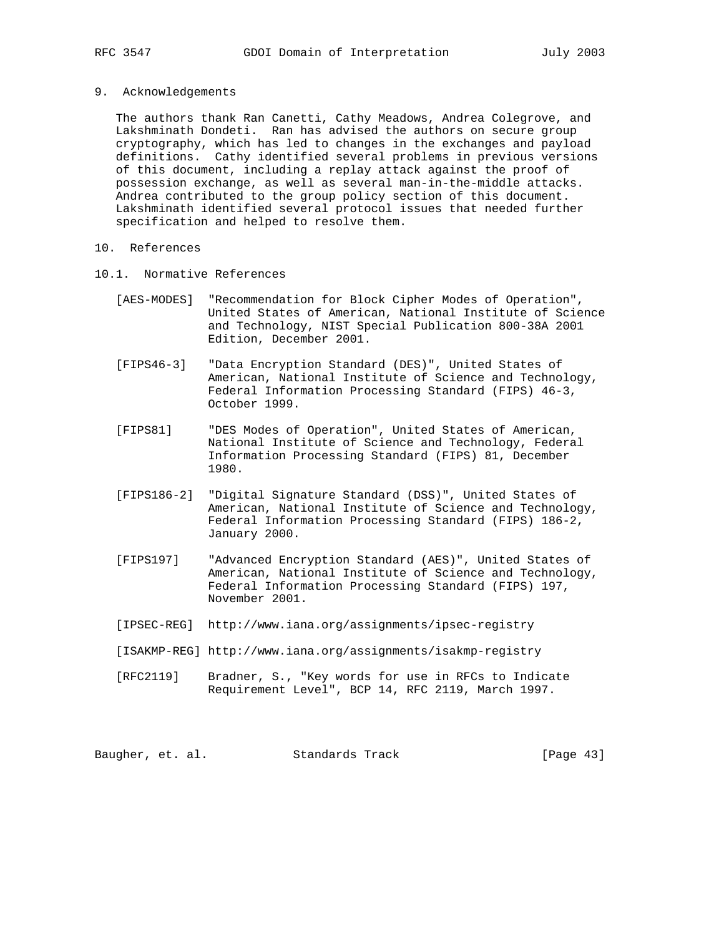9. Acknowledgements

 The authors thank Ran Canetti, Cathy Meadows, Andrea Colegrove, and Lakshminath Dondeti. Ran has advised the authors on secure group cryptography, which has led to changes in the exchanges and payload definitions. Cathy identified several problems in previous versions of this document, including a replay attack against the proof of possession exchange, as well as several man-in-the-middle attacks. Andrea contributed to the group policy section of this document. Lakshminath identified several protocol issues that needed further specification and helped to resolve them.

- 10. References
- 10.1. Normative References
	- [AES-MODES] "Recommendation for Block Cipher Modes of Operation", United States of American, National Institute of Science and Technology, NIST Special Publication 800-38A 2001 Edition, December 2001.
	- [FIPS46-3] "Data Encryption Standard (DES)", United States of American, National Institute of Science and Technology, Federal Information Processing Standard (FIPS) 46-3, October 1999.
	- [FIPS81] "DES Modes of Operation", United States of American, National Institute of Science and Technology, Federal Information Processing Standard (FIPS) 81, December 1980.
	- [FIPS186-2] "Digital Signature Standard (DSS)", United States of American, National Institute of Science and Technology, Federal Information Processing Standard (FIPS) 186-2, January 2000.
	- [FIPS197] "Advanced Encryption Standard (AES)", United States of American, National Institute of Science and Technology, Federal Information Processing Standard (FIPS) 197, November 2001.
	- [IPSEC-REG] http://www.iana.org/assignments/ipsec-registry
	- [ISAKMP-REG] http://www.iana.org/assignments/isakmp-registry
	- [RFC2119] Bradner, S., "Key words for use in RFCs to Indicate Requirement Level", BCP 14, RFC 2119, March 1997.

Baugher, et. al. Standards Track [Page 43]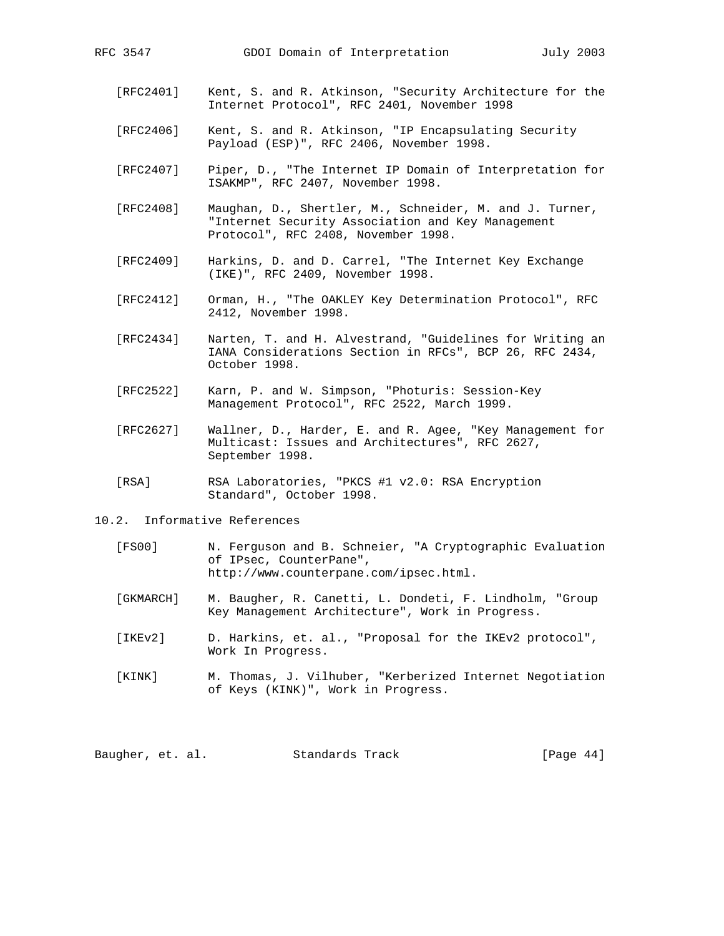- [RFC2401] Kent, S. and R. Atkinson, "Security Architecture for the Internet Protocol", RFC 2401, November 1998
- [RFC2406] Kent, S. and R. Atkinson, "IP Encapsulating Security Payload (ESP)", RFC 2406, November 1998.
- [RFC2407] Piper, D., "The Internet IP Domain of Interpretation for ISAKMP", RFC 2407, November 1998.
- [RFC2408] Maughan, D., Shertler, M., Schneider, M. and J. Turner, "Internet Security Association and Key Management Protocol", RFC 2408, November 1998.
- [RFC2409] Harkins, D. and D. Carrel, "The Internet Key Exchange (IKE)", RFC 2409, November 1998.
- [RFC2412] Orman, H., "The OAKLEY Key Determination Protocol", RFC 2412, November 1998.
- [RFC2434] Narten, T. and H. Alvestrand, "Guidelines for Writing an IANA Considerations Section in RFCs", BCP 26, RFC 2434, October 1998.
- [RFC2522] Karn, P. and W. Simpson, "Photuris: Session-Key Management Protocol", RFC 2522, March 1999.
- [RFC2627] Wallner, D., Harder, E. and R. Agee, "Key Management for Multicast: Issues and Architectures", RFC 2627, September 1998.
- [RSA] RSA Laboratories, "PKCS #1 v2.0: RSA Encryption Standard", October 1998.
- 10.2. Informative References
	- [FS00] N. Ferguson and B. Schneier, "A Cryptographic Evaluation of IPsec, CounterPane", http://www.counterpane.com/ipsec.html.
	- [GKMARCH] M. Baugher, R. Canetti, L. Dondeti, F. Lindholm, "Group Key Management Architecture", Work in Progress.
	- [IKEv2] D. Harkins, et. al., "Proposal for the IKEv2 protocol", Work In Progress.
	- [KINK] M. Thomas, J. Vilhuber, "Kerberized Internet Negotiation of Keys (KINK)", Work in Progress.

Baugher, et. al. Standards Track [Page 44]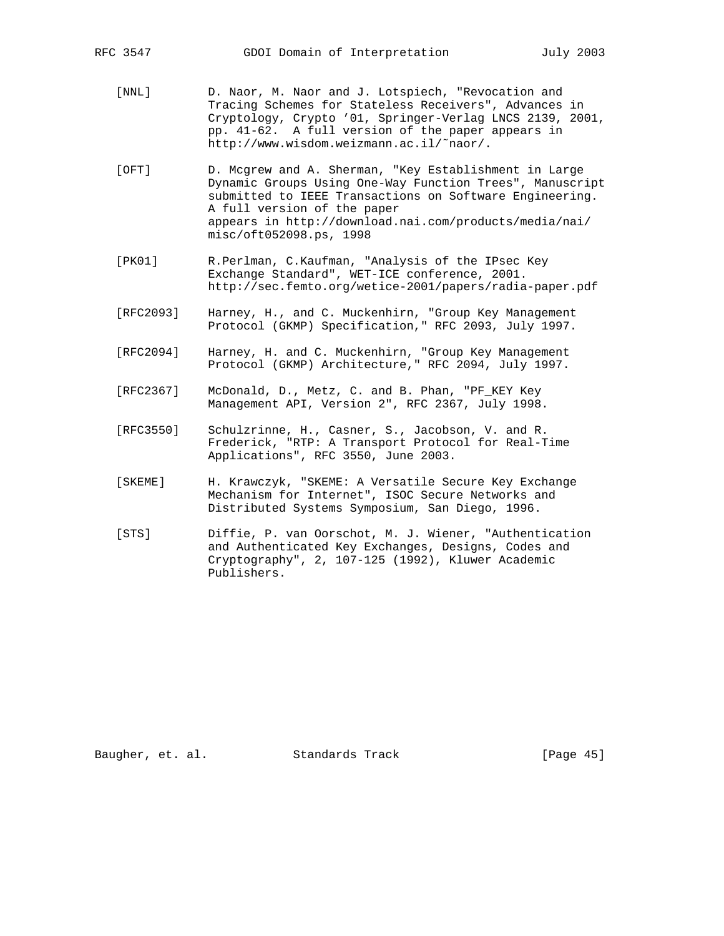- [NNL] D. Naor, M. Naor and J. Lotspiech, "Revocation and Tracing Schemes for Stateless Receivers", Advances in Cryptology, Crypto '01, Springer-Verlag LNCS 2139, 2001, pp. 41-62. A full version of the paper appears in http://www.wisdom.weizmann.ac.il/˜naor/.
- [OFT] D. Mcgrew and A. Sherman, "Key Establishment in Large Dynamic Groups Using One-Way Function Trees", Manuscript submitted to IEEE Transactions on Software Engineering. A full version of the paper appears in http://download.nai.com/products/media/nai/ misc/oft052098.ps, 1998
- [PK01] R.Perlman, C.Kaufman, "Analysis of the IPsec Key Exchange Standard", WET-ICE conference, 2001. http://sec.femto.org/wetice-2001/papers/radia-paper.pdf
- [RFC2093] Harney, H., and C. Muckenhirn, "Group Key Management Protocol (GKMP) Specification," RFC 2093, July 1997.
- [RFC2094] Harney, H. and C. Muckenhirn, "Group Key Management Protocol (GKMP) Architecture," RFC 2094, July 1997.
- [RFC2367] McDonald, D., Metz, C. and B. Phan, "PF\_KEY Key Management API, Version 2", RFC 2367, July 1998.
- [RFC3550] Schulzrinne, H., Casner, S., Jacobson, V. and R. Frederick, "RTP: A Transport Protocol for Real-Time Applications", RFC 3550, June 2003.
- [SKEME] H. Krawczyk, "SKEME: A Versatile Secure Key Exchange Mechanism for Internet", ISOC Secure Networks and Distributed Systems Symposium, San Diego, 1996.
- [STS] Diffie, P. van Oorschot, M. J. Wiener, "Authentication and Authenticated Key Exchanges, Designs, Codes and Cryptography", 2, 107-125 (1992), Kluwer Academic Publishers.

Baugher, et. al. Standards Track [Page 45]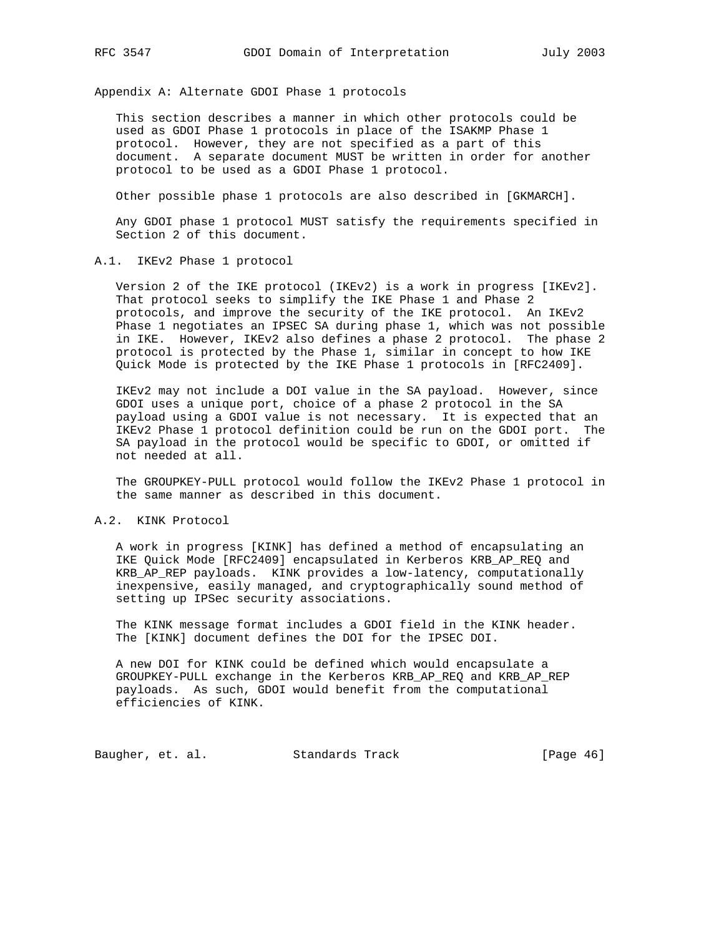Appendix A: Alternate GDOI Phase 1 protocols

 This section describes a manner in which other protocols could be used as GDOI Phase 1 protocols in place of the ISAKMP Phase 1 protocol. However, they are not specified as a part of this document. A separate document MUST be written in order for another protocol to be used as a GDOI Phase 1 protocol.

Other possible phase 1 protocols are also described in [GKMARCH].

 Any GDOI phase 1 protocol MUST satisfy the requirements specified in Section 2 of this document.

A.1. IKEv2 Phase 1 protocol

 Version 2 of the IKE protocol (IKEv2) is a work in progress [IKEv2]. That protocol seeks to simplify the IKE Phase 1 and Phase 2 protocols, and improve the security of the IKE protocol. An IKEv2 Phase 1 negotiates an IPSEC SA during phase 1, which was not possible in IKE. However, IKEv2 also defines a phase 2 protocol. The phase 2 protocol is protected by the Phase 1, similar in concept to how IKE Quick Mode is protected by the IKE Phase 1 protocols in [RFC2409].

 IKEv2 may not include a DOI value in the SA payload. However, since GDOI uses a unique port, choice of a phase 2 protocol in the SA payload using a GDOI value is not necessary. It is expected that an IKEv2 Phase 1 protocol definition could be run on the GDOI port. The SA payload in the protocol would be specific to GDOI, or omitted if not needed at all.

 The GROUPKEY-PULL protocol would follow the IKEv2 Phase 1 protocol in the same manner as described in this document.

A.2. KINK Protocol

 A work in progress [KINK] has defined a method of encapsulating an IKE Quick Mode [RFC2409] encapsulated in Kerberos KRB\_AP\_REQ and KRB\_AP\_REP payloads. KINK provides a low-latency, computationally inexpensive, easily managed, and cryptographically sound method of setting up IPSec security associations.

 The KINK message format includes a GDOI field in the KINK header. The [KINK] document defines the DOI for the IPSEC DOI.

 A new DOI for KINK could be defined which would encapsulate a GROUPKEY-PULL exchange in the Kerberos KRB\_AP\_REQ and KRB\_AP\_REP payloads. As such, GDOI would benefit from the computational efficiencies of KINK.

Baugher, et. al. Standards Track [Page 46]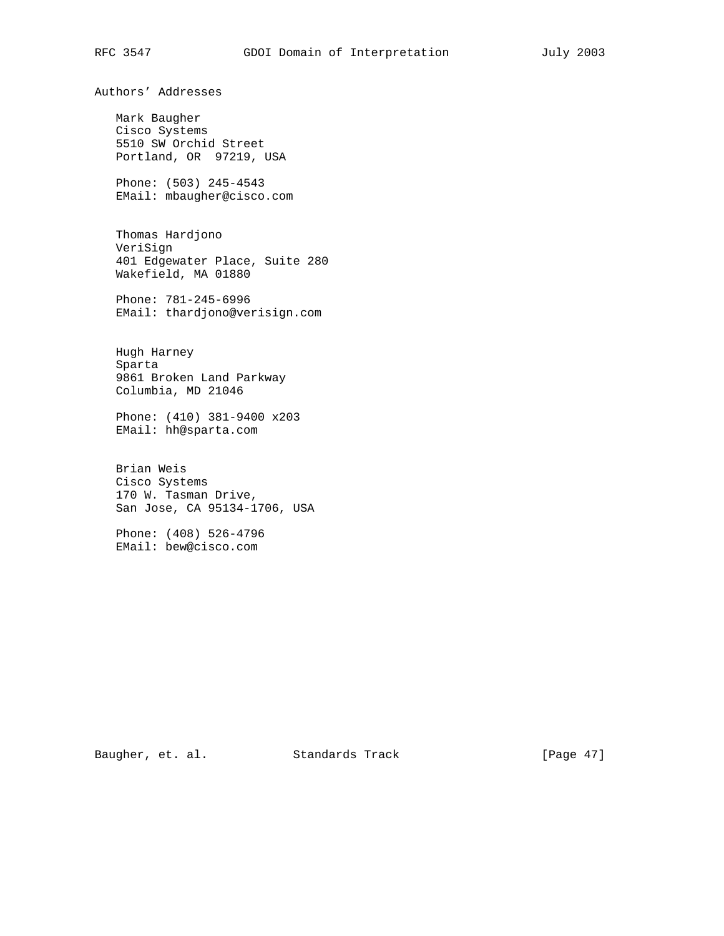Authors' Addresses

 Mark Baugher Cisco Systems 5510 SW Orchid Street Portland, OR 97219, USA

 Phone: (503) 245-4543 EMail: mbaugher@cisco.com

 Thomas Hardjono VeriSign 401 Edgewater Place, Suite 280 Wakefield, MA 01880

 Phone: 781-245-6996 EMail: thardjono@verisign.com

 Hugh Harney Sparta 9861 Broken Land Parkway Columbia, MD 21046

 Phone: (410) 381-9400 x203 EMail: hh@sparta.com

 Brian Weis Cisco Systems 170 W. Tasman Drive, San Jose, CA 95134-1706, USA

 Phone: (408) 526-4796 EMail: bew@cisco.com

Baugher, et. al. Standards Track [Page 47]